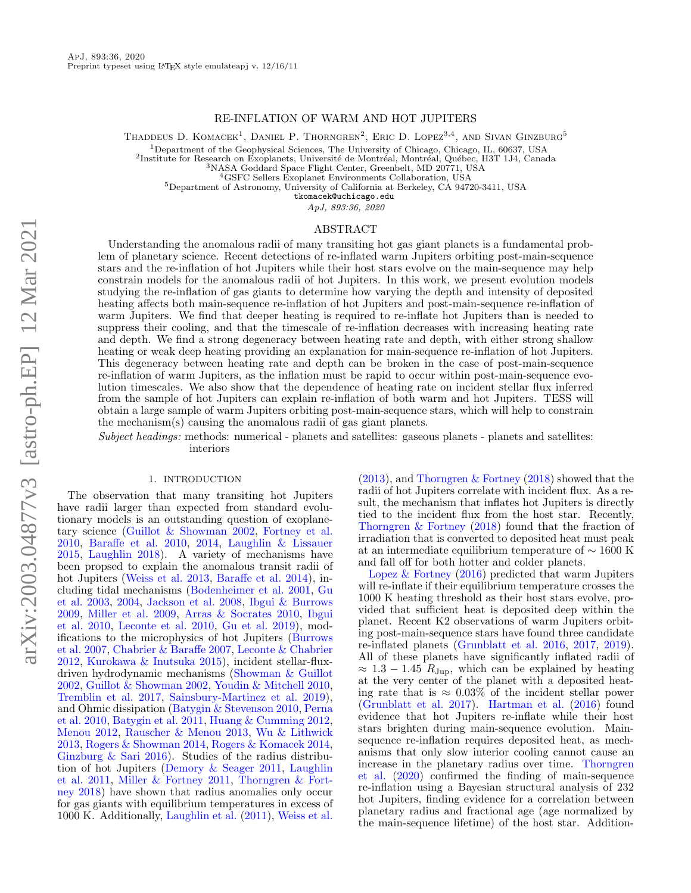# RE-INFLATION OF WARM AND HOT JUPITERS

Thaddeus D. Komacek<sup>1</sup>, Daniel P. Thorngren<sup>2</sup>, Eric D. Lopez<sup>3,4</sup>, and Sivan Ginzburg<sup>5</sup>

<sup>1</sup>Department of the Geophysical Sciences, The University of Chicago, Chicago, IL, 60637, USA<br><sup>2</sup>Institute for Research on Exoplanets, Université de Montréal, Montréal, Québec, H3T 1J4, Canada

<sup>3</sup>NASA Goddard Space Flight Center, Greenbelt, MD 20771, USA

<sup>4</sup>GSFC Sellers Exoplanet Environments Collaboration, USA

<sup>5</sup>Department of Astronomy, University of California at Berkeley, CA 94720-3411, USA

<tkomacek@uchicago.edu>

ApJ, 893:36, 2020

# ABSTRACT

Understanding the anomalous radii of many transiting hot gas giant planets is a fundamental problem of planetary science. Recent detections of re-inflated warm Jupiters orbiting post-main-sequence stars and the re-inflation of hot Jupiters while their host stars evolve on the main-sequence may help constrain models for the anomalous radii of hot Jupiters. In this work, we present evolution models studying the re-inflation of gas giants to determine how varying the depth and intensity of deposited heating affects both main-sequence re-inflation of hot Jupiters and post-main-sequence re-inflation of warm Jupiters. We find that deeper heating is required to re-inflate hot Jupiters than is needed to suppress their cooling, and that the timescale of re-inflation decreases with increasing heating rate and depth. We find a strong degeneracy between heating rate and depth, with either strong shallow heating or weak deep heating providing an explanation for main-sequence re-inflation of hot Jupiters. This degeneracy between heating rate and depth can be broken in the case of post-main-sequence re-inflation of warm Jupiters, as the inflation must be rapid to occur within post-main-sequence evolution timescales. We also show that the dependence of heating rate on incident stellar flux inferred from the sample of hot Jupiters can explain re-inflation of both warm and hot Jupiters. TESS will obtain a large sample of warm Jupiters orbiting post-main-sequence stars, which will help to constrain the mechanism(s) causing the anomalous radii of gas giant planets.

Subject headings: methods: numerical - planets and satellites: gaseous planets - planets and satellites: interiors

#### 1. INTRODUCTION

The observation that many transiting hot Jupiters have radii larger than expected from standard evolutionary models is an outstanding question of exoplanetary science [\(Guillot & Showman](#page-13-0) [2002,](#page-13-0) [Fortney et al.](#page-13-1) [2010,](#page-13-1) [Baraffe et al.](#page-13-2) [2010,](#page-13-2) [2014,](#page-13-3) [Laughlin & Lissauer](#page-14-0) [2015,](#page-14-0) [Laughlin](#page-14-1) [2018\)](#page-14-1). A variety of mechanisms have been propsed to explain the anomalous transit radii of hot Jupiters [\(Weiss et al.](#page-14-2) [2013,](#page-14-2) [Baraffe et al.](#page-13-3) [2014\)](#page-13-3), including tidal mechanisms [\(Bodenheimer et al.](#page-13-4) [2001,](#page-13-4) [Gu](#page-13-5) [et al.](#page-13-5) [2003,](#page-13-5) [2004,](#page-13-6) [Jackson et al.](#page-14-3) [2008,](#page-14-3) [Ibgui & Burrows](#page-13-7) [2009,](#page-13-7) [Miller et al.](#page-14-4) [2009,](#page-14-4) [Arras & Socrates](#page-13-8) [2010,](#page-13-8) [Ibgui](#page-13-9) [et al.](#page-13-9) [2010,](#page-13-9) [Leconte et al.](#page-14-5) [2010,](#page-14-5) [Gu et al.](#page-13-10) [2019\)](#page-13-10), modifications to the microphysics of hot Jupiters [\(Burrows](#page-13-11) [et al.](#page-13-11) [2007,](#page-13-11) [Chabrier & Baraffe](#page-13-12) [2007,](#page-13-12) [Leconte & Chabrier](#page-14-6) [2012,](#page-14-6) [Kurokawa & Inutsuka](#page-14-7) [2015\)](#page-14-7), incident stellar-fluxdriven hydrodynamic mechanisms [\(Showman & Guillot](#page-14-8) [2002,](#page-14-8) [Guillot & Showman](#page-13-0) [2002,](#page-13-0) [Youdin & Mitchell](#page-14-9) [2010,](#page-14-9) [Tremblin et al.](#page-14-10) [2017,](#page-14-10) [Sainsbury-Martinez et al.](#page-14-11) [2019\)](#page-14-11), and Ohmic dissipation [\(Batygin & Stevenson](#page-13-13) [2010,](#page-13-13) [Perna](#page-14-12) [et al.](#page-14-12) [2010,](#page-14-12) [Batygin et al.](#page-13-14) [2011,](#page-13-14) [Huang & Cumming](#page-13-15) [2012,](#page-13-15) [Menou](#page-14-13) [2012,](#page-14-13) [Rauscher & Menou](#page-14-14) [2013,](#page-14-14) [Wu & Lithwick](#page-14-15) [2013,](#page-14-15) [Rogers & Showman](#page-14-16) [2014,](#page-14-16) [Rogers & Komacek](#page-14-17) [2014,](#page-14-17) [Ginzburg & Sari](#page-13-16) [2016\)](#page-13-16). Studies of the radius distribution of hot Jupiters [\(Demory & Seager](#page-13-17) [2011,](#page-13-17) [Laughlin](#page-14-18) [et al.](#page-14-18) [2011,](#page-14-18) [Miller & Fortney](#page-14-19) [2011,](#page-14-19) [Thorngren & Fort](#page-14-20)[ney](#page-14-20) [2018\)](#page-14-20) have shown that radius anomalies only occur for gas giants with equilibrium temperatures in excess of 1000 K. Additionally, [Laughlin et al.](#page-14-18) [\(2011\)](#page-14-18), [Weiss et al.](#page-14-2)

[\(2013\)](#page-14-2), and [Thorngren & Fortney](#page-14-20) [\(2018\)](#page-14-20) showed that the radii of hot Jupiters correlate with incident flux. As a result, the mechanism that inflates hot Jupiters is directly tied to the incident flux from the host star. Recently, [Thorngren & Fortney](#page-14-20) [\(2018\)](#page-14-20) found that the fraction of irradiation that is converted to deposited heat must peak at an intermediate equilibrium temperature of ∼ 1600 K and fall off for both hotter and colder planets.

Lopez  $\&$  Fortney [\(2016\)](#page-14-21) predicted that warm Jupiters will re-inflate if their equilibrium temperature crosses the 1000 K heating threshold as their host stars evolve, provided that sufficient heat is deposited deep within the planet. Recent K2 observations of warm Jupiters orbiting post-main-sequence stars have found three candidate re-inflated planets [\(Grunblatt et al.](#page-13-18) [2016,](#page-13-18) [2017,](#page-13-19) [2019\)](#page-13-20). All of these planets have significantly inflated radii of  $\approx 1.3 - 1.45$   $R_{\text{Jup}}$ , which can be explained by heating at the very center of the planet with a deposited heating rate that is  $\approx 0.03\%$  of the incident stellar power [\(Grunblatt et al.](#page-13-19) [2017\)](#page-13-19). [Hartman et al.](#page-13-21) [\(2016\)](#page-13-21) found evidence that hot Jupiters re-inflate while their host stars brighten during main-sequence evolution. Mainsequence re-inflation requires deposited heat, as mechanisms that only slow interior cooling cannot cause an increase in the planetary radius over time. [Thorngren](#page-14-22) [et al.](#page-14-22) [\(2020\)](#page-14-22) confirmed the finding of main-sequence re-inflation using a Bayesian structural analysis of 232 hot Jupiters, finding evidence for a correlation between planetary radius and fractional age (age normalized by the main-sequence lifetime) of the host star. Addition-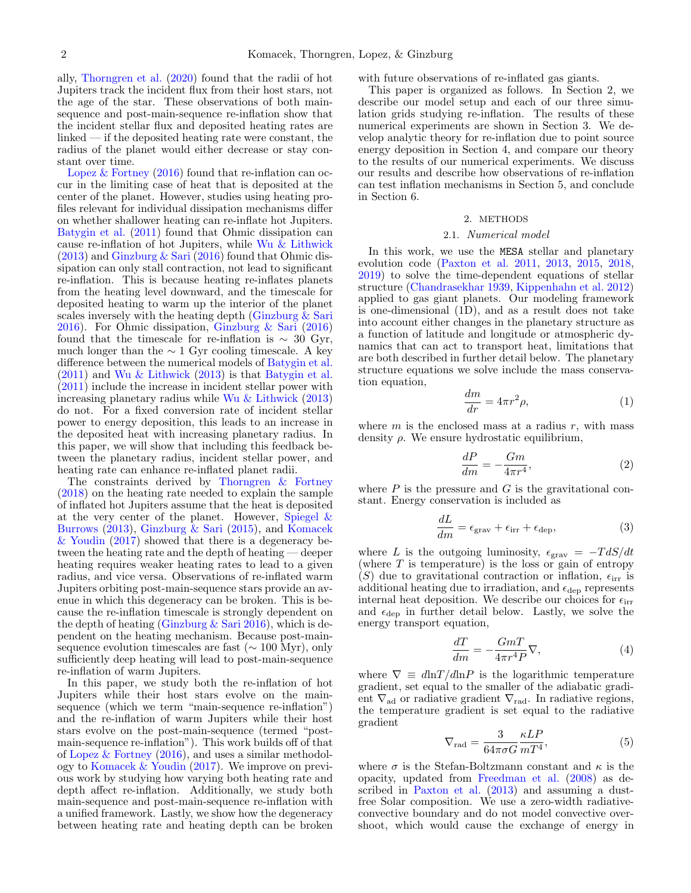ally, [Thorngren et al.](#page-14-22) [\(2020\)](#page-14-22) found that the radii of hot Jupiters track the incident flux from their host stars, not the age of the star. These observations of both mainsequence and post-main-sequence re-inflation show that the incident stellar flux and deposited heating rates are linked — if the deposited heating rate were constant, the radius of the planet would either decrease or stay constant over time.

Lopez  $&$  Fortney [\(2016\)](#page-14-21) found that re-inflation can occur in the limiting case of heat that is deposited at the center of the planet. However, studies using heating profiles relevant for individual dissipation mechanisms differ on whether shallower heating can re-inflate hot Jupiters. [Batygin et al.](#page-13-14) [\(2011\)](#page-13-14) found that Ohmic dissipation can cause re-inflation of hot Jupiters, while [Wu & Lithwick](#page-14-15)  $(2013)$  and [Ginzburg & Sari](#page-13-16)  $(2016)$  found that Ohmic dissipation can only stall contraction, not lead to significant re-inflation. This is because heating re-inflates planets from the heating level downward, and the timescale for deposited heating to warm up the interior of the planet scales inversely with the heating depth (Ginzburg  $\&$  Sari [2016\)](#page-13-16). For Ohmic dissipation, [Ginzburg & Sari](#page-13-16) [\(2016\)](#page-13-16) found that the timescale for re-inflation is  $\sim 30$  Gyr, much longer than the  $\sim 1$  Gyr cooling timescale. A key difference between the numerical models of [Batygin et al.](#page-13-14) [\(2011\)](#page-13-14) and [Wu & Lithwick](#page-14-15) [\(2013\)](#page-14-15) is that [Batygin et al.](#page-13-14)  $(2011)$  include the increase in incident stellar power with increasing planetary radius while [Wu & Lithwick](#page-14-15) [\(2013\)](#page-14-15) do not. For a fixed conversion rate of incident stellar power to energy deposition, this leads to an increase in the deposited heat with increasing planetary radius. In this paper, we will show that including this feedback between the planetary radius, incident stellar power, and heating rate can enhance re-inflated planet radii.

The constraints derived by [Thorngren & Fortney](#page-14-20) [\(2018\)](#page-14-20) on the heating rate needed to explain the sample of inflated hot Jupiters assume that the heat is deposited at the very center of the planet. However, Spiegel  $\&$ [Burrows](#page-14-23) [\(2013\)](#page-14-23), [Ginzburg & Sari](#page-13-22) [\(2015\)](#page-13-22), and [Komacek](#page-14-24) [& Youdin](#page-14-24) [\(2017\)](#page-14-24) showed that there is a degeneracy between the heating rate and the depth of heating — deeper heating requires weaker heating rates to lead to a given radius, and vice versa. Observations of re-inflated warm Jupiters orbiting post-main-sequence stars provide an avenue in which this degeneracy can be broken. This is because the re-inflation timescale is strongly dependent on the depth of heating (Ginzburg  $&$  Sari [2016\)](#page-13-16), which is dependent on the heating mechanism. Because post-mainsequence evolution timescales are fast ( $\sim 100$  Myr), only sufficiently deep heating will lead to post-main-sequence re-inflation of warm Jupiters.

In this paper, we study both the re-inflation of hot Jupiters while their host stars evolve on the mainsequence (which we term "main-sequence re-inflation") and the re-inflation of warm Jupiters while their host stars evolve on the post-main-sequence (termed "postmain-sequence re-inflation"). This work builds off of that of Lopez  $&$  Fortney [\(2016\)](#page-14-21), and uses a similar methodology to [Komacek & Youdin](#page-14-24) [\(2017\)](#page-14-24). We improve on previous work by studying how varying both heating rate and depth affect re-inflation. Additionally, we study both main-sequence and post-main-sequence re-inflation with a unified framework. Lastly, we show how the degeneracy between heating rate and heating depth can be broken with future observations of re-inflated gas giants.

This paper is organized as follows. In Section [2,](#page-1-0) we describe our model setup and each of our three simulation grids studying re-inflation. The results of these numerical experiments are shown in Section [3.](#page-3-0) We develop analytic theory for re-inflation due to point source energy deposition in Section [4,](#page-7-0) and compare our theory to the results of our numerical experiments. We discuss our results and describe how observations of re-inflation can test inflation mechanisms in Section [5,](#page-8-0) and conclude in Section [6.](#page-11-0)

### 2. METHODS

#### 2.1. Numerical model

<span id="page-1-0"></span>In this work, we use the MESA stellar and planetary evolution code [\(Paxton et al.](#page-14-25) [2011,](#page-14-25) [2013,](#page-14-26) [2015,](#page-14-27) [2018,](#page-14-28) [2019\)](#page-14-29) to solve the time-dependent equations of stellar structure [\(Chandrasekhar](#page-13-23) [1939,](#page-13-23) [Kippenhahn et al.](#page-14-30) [2012\)](#page-14-30) applied to gas giant planets. Our modeling framework is one-dimensional (1D), and as a result does not take into account either changes in the planetary structure as a function of latitude and longitude or atmospheric dynamics that can act to transport heat, limitations that are both described in further detail below. The planetary structure equations we solve include the mass conservation equation,

<span id="page-1-1"></span>
$$
\frac{dm}{dr} = 4\pi r^2 \rho,\tag{1}
$$

where  $m$  is the enclosed mass at a radius  $r$ , with mass density  $\rho$ . We ensure hydrostatic equilibrium,

$$
\frac{dP}{dm} = -\frac{Gm}{4\pi r^4},\tag{2}
$$

where  $P$  is the pressure and  $G$  is the gravitational constant. Energy conservation is included as

$$
\frac{dL}{dm} = \epsilon_{\text{grav}} + \epsilon_{\text{irr}} + \epsilon_{\text{dep}},\tag{3}
$$

where L is the outgoing luminosity,  $\epsilon_{\text{grav}} = -T dS/dt$ (where  $T$  is temperature) is the loss or gain of entropy (S) due to gravitational contraction or inflation,  $\epsilon_{irr}$  is additional heating due to irradiation, and  $\epsilon_{\text{dep}}$  represents internal heat deposition. We describe our choices for  $\epsilon_{irr}$ and  $\epsilon_{\text{dep}}$  in further detail below. Lastly, we solve the energy transport equation,

<span id="page-1-2"></span>
$$
\frac{dT}{dm} = -\frac{GmT}{4\pi r^4 P} \nabla,\tag{4}
$$

where  $\nabla \equiv d \ln T / d \ln P$  is the logarithmic temperature gradient, set equal to the smaller of the adiabatic gradient  $\nabla_{\rm ad}$  or radiative gradient  $\nabla_{\rm rad}$ . In radiative regions, the temperature gradient is set equal to the radiative gradient

$$
\nabla_{\rm rad} = \frac{3}{64\pi\sigma G} \frac{\kappa LP}{mT^4},\tag{5}
$$

where  $\sigma$  is the Stefan-Boltzmann constant and  $\kappa$  is the opacity, updated from [Freedman et al.](#page-13-24) [\(2008\)](#page-13-24) as described in [Paxton et al.](#page-14-26) [\(2013\)](#page-14-26) and assuming a dustfree Solar composition. We use a zero-width radiativeconvective boundary and do not model convective overshoot, which would cause the exchange of energy in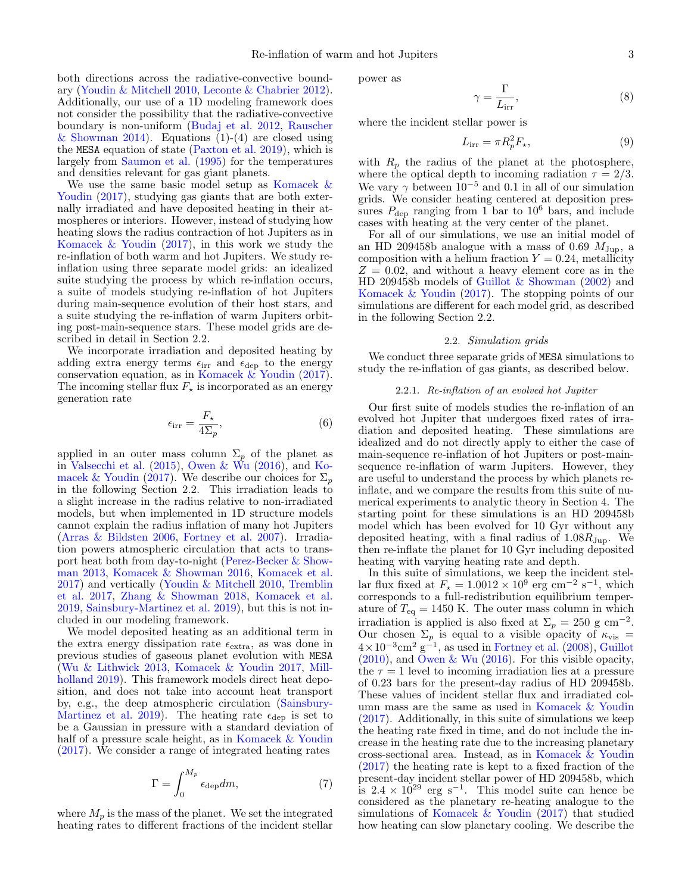both directions across the radiative-convective boundary [\(Youdin & Mitchell](#page-14-9) [2010,](#page-14-9) [Leconte & Chabrier](#page-14-6) [2012\)](#page-14-6). Additionally, our use of a 1D modeling framework does not consider the possibility that the radiative-convective boundary is non-uniform [\(Budaj et al.](#page-13-25) [2012,](#page-13-25) [Rauscher](#page-14-31) [& Showman](#page-14-31) [2014\)](#page-14-31). Equations  $(1)-(4)$  $(1)-(4)$  are closed using the MESA equation of state [\(Paxton et al.](#page-14-29) [2019\)](#page-14-29), which is largely from [Saumon et al.](#page-14-32) [\(1995\)](#page-14-32) for the temperatures and densities relevant for gas giant planets.

We use the same basic model setup as [Komacek &](#page-14-24) [Youdin](#page-14-24)  $(2017)$ , studying gas giants that are both externally irradiated and have deposited heating in their atmospheres or interiors. However, instead of studying how heating slows the radius contraction of hot Jupiters as in Komacek  $& Youdin (2017)$  $& Youdin (2017)$ , in this work we study the re-inflation of both warm and hot Jupiters. We study reinflation using three separate model grids: an idealized suite studying the process by which re-inflation occurs, a suite of models studying re-inflation of hot Jupiters during main-sequence evolution of their host stars, and a suite studying the re-inflation of warm Jupiters orbiting post-main-sequence stars. These model grids are described in detail in Section [2.2.](#page-2-0)

We incorporate irradiation and deposited heating by adding extra energy terms  $\epsilon_{irr}$  and  $\epsilon_{dep}$  to the energy conservation equation, as in [Komacek & Youdin](#page-14-24) [\(2017\)](#page-14-24). The incoming stellar flux  $F_{\star}$  is incorporated as an energy generation rate

$$
\epsilon_{\rm irr} = \frac{F_\star}{4\Sigma_p},\tag{6}
$$

applied in an outer mass column  $\Sigma_p$  of the planet as in [Valsecchi et al.](#page-14-33)  $(2015)$ , [Owen & Wu](#page-14-34)  $(2016)$ , and [Ko](#page-14-24)[macek & Youdin](#page-14-24) [\(2017\)](#page-14-24). We describe our choices for  $\Sigma_p$ in the following Section [2.2.](#page-2-0) This irradiation leads to a slight increase in the radius relative to non-irradiated models, but when implemented in 1D structure models cannot explain the radius inflation of many hot Jupiters [\(Arras & Bildsten](#page-13-26) [2006,](#page-13-26) [Fortney et al.](#page-13-27) [2007\)](#page-13-27). Irradiation powers atmospheric circulation that acts to transport heat both from day-to-night [\(Perez-Becker & Show](#page-14-35)[man](#page-14-35) [2013,](#page-14-35) [Komacek & Showman](#page-14-36) [2016,](#page-14-36) [Komacek et al.](#page-14-37) [2017\)](#page-14-37) and vertically [\(Youdin & Mitchell](#page-14-9) [2010,](#page-14-9) [Tremblin](#page-14-10) [et al.](#page-14-10) [2017,](#page-14-10) [Zhang & Showman](#page-14-38) [2018,](#page-14-38) [Komacek et al.](#page-14-39) [2019,](#page-14-39) [Sainsbury-Martinez et al.](#page-14-11) [2019\)](#page-14-11), but this is not included in our modeling framework.

We model deposited heating as an additional term in the extra energy dissipation rate  $\epsilon_{\text{extra}}$ , as was done in previous studies of gaseous planet evolution with MESA [\(Wu & Lithwick](#page-14-15) [2013,](#page-14-15) [Komacek & Youdin](#page-14-24) [2017,](#page-14-24) [Mill](#page-14-40)[holland](#page-14-40) [2019\)](#page-14-40). This framework models direct heat deposition, and does not take into account heat transport by, e.g., the deep atmospheric circulation [\(Sainsbury-](#page-14-11)[Martinez et al.](#page-14-11) [2019\)](#page-14-11). The heating rate  $\epsilon_{\text{dep}}$  is set to be a Gaussian in pressure with a standard deviation of half of a pressure scale height, as in [Komacek & Youdin](#page-14-24) [\(2017\)](#page-14-24). We consider a range of integrated heating rates

$$
\Gamma = \int_0^{M_p} \epsilon_{\rm dep} dm,\tag{7}
$$

where  $M_p$  is the mass of the planet. We set the integrated heating rates to different fractions of the incident stellar power as

$$
\gamma = \frac{\Gamma}{L_{\text{irr}}},\tag{8}
$$

where the incident stellar power is

$$
L_{\rm irr} = \pi R_p^2 F_\star,\tag{9}
$$

with  $R_p$  the radius of the planet at the photosphere, where the optical depth to incoming radiation  $\tau = 2/3$ . We vary  $\gamma$  between 10<sup>-5</sup> and 0.1 in all of our simulation grids. We consider heating centered at deposition pressures  $P_{\text{dep}}$  ranging from 1 bar to  $10^6$  bars, and include cases with heating at the very center of the planet.

For all of our simulations, we use an initial model of an HD 209458b analogue with a mass of 0.69  $M_{\text{Jup}}$ , a composition with a helium fraction  $Y = 0.24$ , metallicity  $Z = 0.02$ , and without a heavy element core as in the HD 209458b models of [Guillot & Showman](#page-13-0) [\(2002\)](#page-13-0) and [Komacek & Youdin](#page-14-24) [\(2017\)](#page-14-24). The stopping points of our simulations are different for each model grid, as described in the following Section [2.2.](#page-2-0)

# 2.2. Simulation grids

<span id="page-2-0"></span>We conduct three separate grids of MESA simulations to study the re-inflation of gas giants, as described below.

### 2.2.1. Re-inflation of an evolved hot Jupiter

Our first suite of models studies the re-inflation of an evolved hot Jupiter that undergoes fixed rates of irradiation and deposited heating. These simulations are idealized and do not directly apply to either the case of main-sequence re-inflation of hot Jupiters or post-mainsequence re-inflation of warm Jupiters. However, they are useful to understand the process by which planets reinflate, and we compare the results from this suite of numerical experiments to analytic theory in Section [4.](#page-7-0) The starting point for these simulations is an HD 209458b model which has been evolved for 10 Gyr without any deposited heating, with a final radius of  $1.08R_{\text{Jup}}$ . We then re-inflate the planet for 10 Gyr including deposited heating with varying heating rate and depth.

In this suite of simulations, we keep the incident stellar flux fixed at  $F_{\star} = 1.0012 \times 10^{9}$  erg cm<sup>-2</sup> s<sup>-1</sup>, which corresponds to a full-redistribution equilibrium temperature of  $T_{\text{eq}} = 1450 \text{ K}$ . The outer mass column in which irradiation is applied is also fixed at  $\Sigma_p = 250$  g cm<sup>-2</sup>. Our chosen  $\Sigma_p$  is equal to a visible opacity of  $\kappa_{\rm vis}$  =  $4 \times 10^{-3}$  cm<sup>2</sup> g<sup>-1</sup>, as used in [Fortney et al.](#page-13-28) [\(2008\)](#page-13-28), [Guillot](#page-13-29)  $(2010)$ , and [Owen & Wu](#page-14-34)  $(2016)$ . For this visible opacity, the  $\tau = 1$  level to incoming irradiation lies at a pressure of 0.23 bars for the present-day radius of HD 209458b. These values of incident stellar flux and irradiated column mass are the same as used in [Komacek & Youdin](#page-14-24) [\(2017\)](#page-14-24). Additionally, in this suite of simulations we keep the heating rate fixed in time, and do not include the increase in the heating rate due to the increasing planetary cross-sectional area. Instead, as in [Komacek & Youdin](#page-14-24) [\(2017\)](#page-14-24) the heating rate is kept to a fixed fraction of the present-day incident stellar power of HD 209458b, which is  $2.4 \times 10^{29}$  erg s<sup>-1</sup>. This model suite can hence be considered as the planetary re-heating analogue to the simulations of [Komacek & Youdin](#page-14-24) [\(2017\)](#page-14-24) that studied how heating can slow planetary cooling. We describe the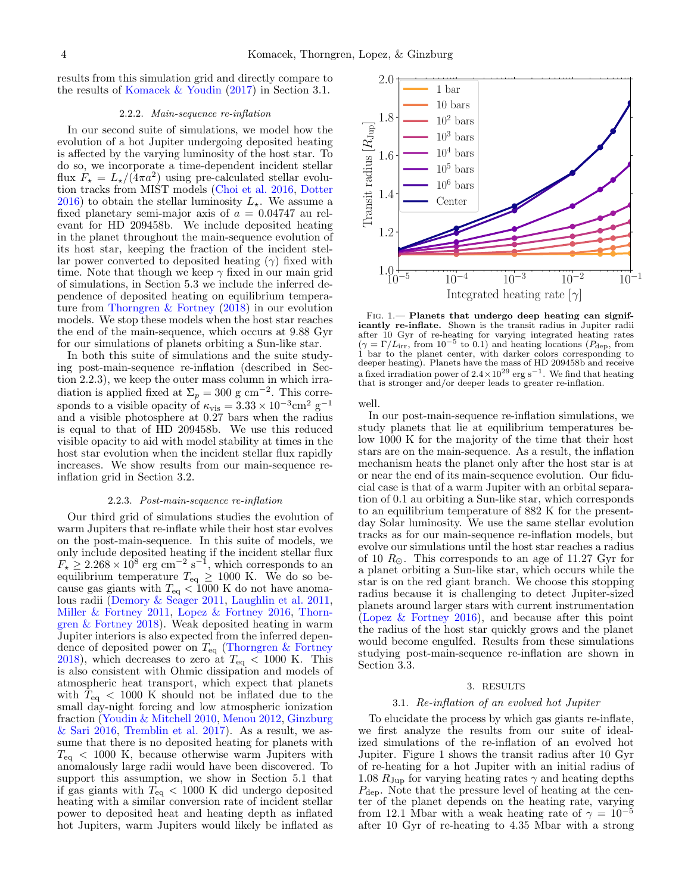results from this simulation grid and directly compare to the results of [Komacek & Youdin](#page-14-24) [\(2017\)](#page-14-24) in Section [3.1.](#page-3-1)

# 2.2.2. Main-sequence re-inflation

In our second suite of simulations, we model how the evolution of a hot Jupiter undergoing deposited heating is affected by the varying luminosity of the host star. To do so, we incorporate a time-dependent incident stellar flux  $F_{\star} = L_{\star}/(4\pi a^2)$  using pre-calculated stellar evolution tracks from MIST models [\(Choi et al.](#page-13-30) [2016,](#page-13-30) [Dotter](#page-13-31) [2016\)](#page-13-31) to obtain the stellar luminosity  $L_{\star}$ . We assume a fixed planetary semi-major axis of  $a = 0.04747$  au relevant for HD 209458b. We include deposited heating in the planet throughout the main-sequence evolution of its host star, keeping the fraction of the incident stellar power converted to deposited heating  $(\gamma)$  fixed with time. Note that though we keep  $\gamma$  fixed in our main grid of simulations, in Section [5.3](#page-10-0) we include the inferred dependence of deposited heating on equilibrium temperature from [Thorngren & Fortney](#page-14-20) [\(2018\)](#page-14-20) in our evolution models. We stop these models when the host star reaches the end of the main-sequence, which occurs at 9.88 Gyr for our simulations of planets orbiting a Sun-like star.

In both this suite of simulations and the suite studying post-main-sequence re-inflation (described in Section [2.2.3\)](#page-3-2), we keep the outer mass column in which irradiation is applied fixed at  $\Sigma_p = 300$  g cm<sup>-2</sup>. This corresponds to a visible opacity of  $\kappa_{\text{vis}} = 3.33 \times 10^{-3} \text{cm}^2 \text{ g}^{-1}$ and a visible photosphere at 0.27 bars when the radius is equal to that of HD 209458b. We use this reduced visible opacity to aid with model stability at times in the host star evolution when the incident stellar flux rapidly increases. We show results from our main-sequence reinflation grid in Section [3.2.](#page-5-0)

# 2.2.3. Post-main-sequence re-inflation

<span id="page-3-2"></span>Our third grid of simulations studies the evolution of warm Jupiters that re-inflate while their host star evolves on the post-main-sequence. In this suite of models, we only include deposited heating if the incident stellar flux  $F_{\star} \geq 2.268 \times 10^8$  erg cm<sup>-2</sup> s<sup>-1</sup>, which corresponds to an equilibrium temperature  $T_{eq} \ge 1000$  K. We do so because gas giants with  $T_{\text{eq}} < 1000 \text{ K}$  do not have anomalous radii [\(Demory & Seager](#page-13-17) [2011,](#page-13-17) [Laughlin et al.](#page-14-18) [2011,](#page-14-18) [Miller & Fortney](#page-14-19) [2011,](#page-14-19) [Lopez & Fortney](#page-14-21) [2016,](#page-14-21) [Thorn](#page-14-20)[gren & Fortney](#page-14-20) [2018\)](#page-14-20). Weak deposited heating in warm Jupiter interiors is also expected from the inferred dependence of deposited power on  $T_{\text{eq}}$  [\(Thorngren & Fortney](#page-14-20)  $2018$ , which decreases to zero at  $T_{\text{eq}} < 1000$  K. This is also consistent with Ohmic dissipation and models of atmospheric heat transport, which expect that planets with  $T_{eq}$  < 1000 K should not be inflated due to the small day-night forcing and low atmospheric ionization fraction [\(Youdin & Mitchell](#page-14-9) [2010,](#page-14-9) [Menou](#page-14-13) [2012,](#page-14-13) [Ginzburg](#page-13-16) [& Sari](#page-13-16) [2016,](#page-13-16) [Tremblin et al.](#page-14-10) [2017\)](#page-14-10). As a result, we assume that there is no deposited heating for planets with  $T_{\text{eq}}$  < 1000 K, because otherwise warm Jupiters with anomalously large radii would have been discovered. To support this assumption, we show in Section [5.1](#page-8-1) that if gas giants with  $T_{eq}$  < 1000 K did undergo deposited heating with a similar conversion rate of incident stellar power to deposited heat and heating depth as inflated hot Jupiters, warm Jupiters would likely be inflated as



<span id="page-3-3"></span>FIG. 1. - Planets that undergo deep heating can significantly re-inflate. Shown is the transit radius in Jupiter radii after 10 Gyr of re-heating for varying integrated heating rates  $(\gamma = \Gamma/L_{irr}$ , from  $10^{-5}$  to 0.1) and heating locations ( $P_{\text{dep}}$ , from 1 bar to the planet center, with darker colors corresponding to deeper heating). Planets have the mass of HD 209458b and receive a fixed irradiation power of  $2.4 \times 10^{29}$  erg s<sup>-1</sup>. We find that heating that is stronger and/or deeper leads to greater re-inflation.

well.

In our post-main-sequence re-inflation simulations, we study planets that lie at equilibrium temperatures below 1000 K for the majority of the time that their host stars are on the main-sequence. As a result, the inflation mechanism heats the planet only after the host star is at or near the end of its main-sequence evolution. Our fiducial case is that of a warm Jupiter with an orbital separation of 0.1 au orbiting a Sun-like star, which corresponds to an equilibrium temperature of 882 K for the presentday Solar luminosity. We use the same stellar evolution tracks as for our main-sequence re-inflation models, but evolve our simulations until the host star reaches a radius of 10  $R_{\odot}$ . This corresponds to an age of 11.27 Gyr for a planet orbiting a Sun-like star, which occurs while the star is on the red giant branch. We choose this stopping radius because it is challenging to detect Jupiter-sized planets around larger stars with current instrumentation [\(Lopez & Fortney](#page-14-21) [2016\)](#page-14-21), and because after this point the radius of the host star quickly grows and the planet would become engulfed. Results from these simulations studying post-main-sequence re-inflation are shown in Section [3.3.](#page-6-0)

# 3. RESULTS

#### 3.1. Re-inflation of an evolved hot Jupiter

<span id="page-3-1"></span><span id="page-3-0"></span>To elucidate the process by which gas giants re-inflate, we first analyze the results from our suite of idealized simulations of the re-inflation of an evolved hot Jupiter. Figure [1](#page-3-3) shows the transit radius after 10 Gyr of re-heating for a hot Jupiter with an initial radius of 1.08  $R_{\text{Jup}}$  for varying heating rates  $\gamma$  and heating depths  $P_{\text{dep}}$ . Note that the pressure level of heating at the center of the planet depends on the heating rate, varying from 12.1 Mbar with a weak heating rate of  $\gamma = 10^{-5}$ after 10 Gyr of re-heating to 4.35 Mbar with a strong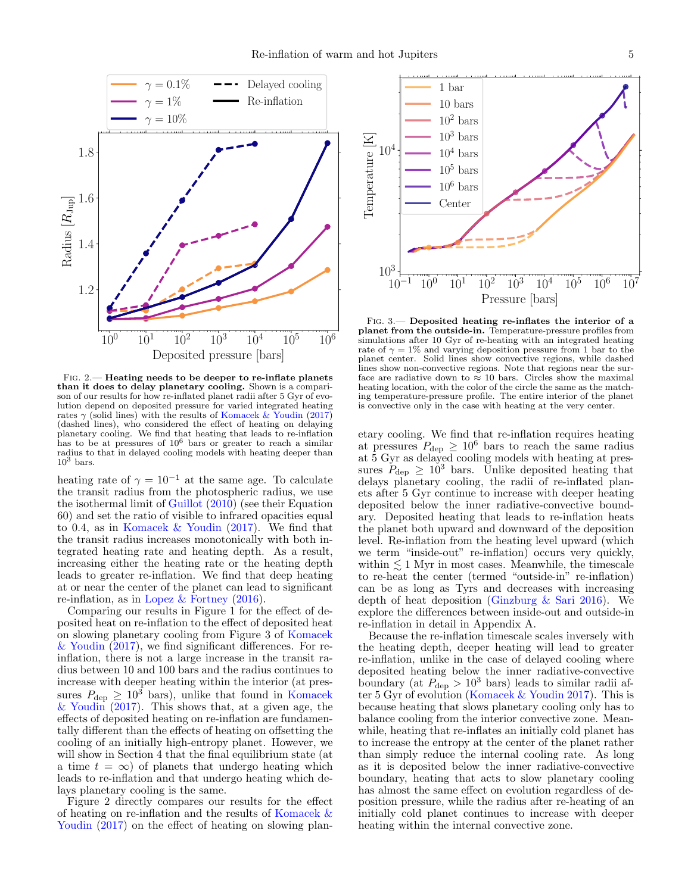

<span id="page-4-0"></span>Fig. 2.— Heating needs to be deeper to re-inflate planets than it does to delay planetary cooling. Shown is a comparison of our results for how re-inflated planet radii after 5 Gyr of evolution depend on deposited pressure for varied integrated heating rates  $\gamma$  (solid lines) with the results of [Komacek & Youdin](#page-14-24) [\(2017\)](#page-14-24) (dashed lines), who considered the effect of heating on delaying planetary cooling. We find that heating that leads to re-inflation has to be at pressures of  $10^6$  bars or greater to reach a similar radius to that in delayed cooling models with heating deeper than  $10^3$  bars.

heating rate of  $\gamma = 10^{-1}$  at the same age. To calculate the transit radius from the photospheric radius, we use the isothermal limit of [Guillot](#page-13-29) [\(2010\)](#page-13-29) (see their Equation 60) and set the ratio of visible to infrared opacities equal to 0.4, as in [Komacek & Youdin](#page-14-24) [\(2017\)](#page-14-24). We find that the transit radius increases monotonically with both integrated heating rate and heating depth. As a result, increasing either the heating rate or the heating depth leads to greater re-inflation. We find that deep heating at or near the center of the planet can lead to significant re-inflation, as in [Lopez & Fortney](#page-14-21) [\(2016\)](#page-14-21).

Comparing our results in Figure [1](#page-3-3) for the effect of deposited heat on re-inflation to the effect of deposited heat on slowing planetary cooling from Figure 3 of [Komacek](#page-14-24) [& Youdin](#page-14-24)  $(2017)$ , we find significant differences. For reinflation, there is not a large increase in the transit radius between 10 and 100 bars and the radius continues to increase with deeper heating within the interior (at pressures  $P_{\text{dep}} \geq 10^3$  bars), unlike that found in [Komacek](#page-14-24) [& Youdin](#page-14-24) [\(2017\)](#page-14-24). This shows that, at a given age, the effects of deposited heating on re-inflation are fundamentally different than the effects of heating on offsetting the cooling of an initially high-entropy planet. However, we will show in Section [4](#page-7-0) that the final equilibrium state (at a time  $t = \infty$ ) of planets that undergo heating which leads to re-inflation and that undergo heating which delays planetary cooling is the same.

Figure [2](#page-4-0) directly compares our results for the effect of heating on re-inflation and the results of [Komacek &](#page-14-24) [Youdin](#page-14-24)  $(2017)$  on the effect of heating on slowing plan-



<span id="page-4-1"></span>Fig. 3.— Deposited heating re-inflates the interior of a planet from the outside-in. Temperature-pressure profiles from simulations after 10 Gyr of re-heating with an integrated heating rate of  $\gamma = 1\%$  and varying deposition pressure from 1 bar to the planet center. Solid lines show convective regions, while dashed lines show non-convective regions. Note that regions near the surface are radiative down to  $\approx 10$  bars. Circles show the maximal heating location, with the color of the circle the same as the matching temperature-pressure profile. The entire interior of the planet is convective only in the case with heating at the very center.

etary cooling. We find that re-inflation requires heating at pressures  $P_{\text{dep}} \geq 10^6$  bars to reach the same radius at 5 Gyr as delayed cooling models with heating at pressures  $P_{\text{dep}} \geq 10^3$  bars. Unlike deposited heating that delays planetary cooling, the radii of re-inflated planets after 5 Gyr continue to increase with deeper heating deposited below the inner radiative-convective boundary. Deposited heating that leads to re-inflation heats the planet both upward and downward of the deposition level. Re-inflation from the heating level upward (which we term "inside-out" re-inflation) occurs very quickly, within  $\lesssim 1$  Myr in most cases. Meanwhile, the timescale to re-heat the center (termed "outside-in" re-inflation) can be as long as Tyrs and decreases with increasing depth of heat deposition [\(Ginzburg & Sari](#page-13-16) [2016\)](#page-13-16). We explore the differences between inside-out and outside-in re-inflation in detail in Appendix [A.](#page-12-0)

Because the re-inflation timescale scales inversely with the heating depth, deeper heating will lead to greater re-inflation, unlike in the case of delayed cooling where deposited heating below the inner radiative-convective boundary (at  $P_{\text{dep}} > 10^3$  bars) leads to similar radii after 5 Gyr of evolution [\(Komacek & Youdin](#page-14-24) [2017\)](#page-14-24). This is because heating that slows planetary cooling only has to balance cooling from the interior convective zone. Meanwhile, heating that re-inflates an initially cold planet has to increase the entropy at the center of the planet rather than simply reduce the internal cooling rate. As long as it is deposited below the inner radiative-convective boundary, heating that acts to slow planetary cooling has almost the same effect on evolution regardless of deposition pressure, while the radius after re-heating of an initially cold planet continues to increase with deeper heating within the internal convective zone.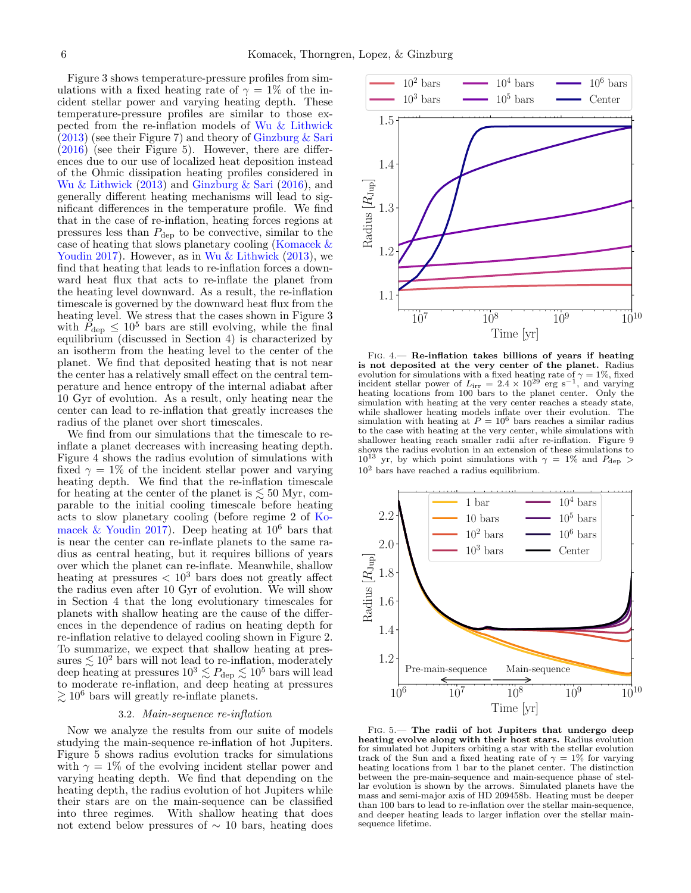Figure [3](#page-4-1) shows temperature-pressure profiles from simulations with a fixed heating rate of  $\gamma = 1\%$  of the incident stellar power and varying heating depth. These temperature-pressure profiles are similar to those expected from the re-inflation models of [Wu & Lithwick](#page-14-15)  $(2013)$  (see their Figure 7) and theory of [Ginzburg & Sari](#page-13-16)  $(2016)$  (see their Figure 5). However, there are differences due to our use of localized heat deposition instead of the Ohmic dissipation heating profiles considered in [Wu & Lithwick](#page-14-15) [\(2013\)](#page-14-15) and [Ginzburg & Sari](#page-13-16) [\(2016\)](#page-13-16), and generally different heating mechanisms will lead to significant differences in the temperature profile. We find that in the case of re-inflation, heating forces regions at pressures less than  $P_{\text{dep}}$  to be convective, similar to the case of heating that slows planetary cooling [\(Komacek &](#page-14-24) [Youdin](#page-14-24) [2017\)](#page-14-24). However, as in [Wu & Lithwick](#page-14-15) [\(2013\)](#page-14-15), we find that heating that leads to re-inflation forces a downward heat flux that acts to re-inflate the planet from the heating level downward. As a result, the re-inflation timescale is governed by the downward heat flux from the heating level. We stress that the cases shown in Figure [3](#page-4-1) with  $P_{\text{dep}} \leq 10^5$  bars are still evolving, while the final equilibrium (discussed in Section [4\)](#page-7-0) is characterized by an isotherm from the heating level to the center of the planet. We find that deposited heating that is not near the center has a relatively small effect on the central temperature and hence entropy of the internal adiabat after 10 Gyr of evolution. As a result, only heating near the center can lead to re-inflation that greatly increases the radius of the planet over short timescales.

We find from our simulations that the timescale to reinflate a planet decreases with increasing heating depth. Figure [4](#page-5-1) shows the radius evolution of simulations with fixed  $\gamma = 1\%$  of the incident stellar power and varying heating depth. We find that the re-inflation timescale for heating at the center of the planet is  $\lesssim$  50 Myr, comparable to the initial cooling timescale before heating acts to slow planetary cooling (before regime 2 of [Ko](#page-14-24)[macek & Youdin](#page-14-24) [2017\)](#page-14-24). Deep heating at  $10^6$  bars that is near the center can re-inflate planets to the same radius as central heating, but it requires billions of years over which the planet can re-inflate. Meanwhile, shallow heating at pressures  $\langle 10^3 \text{ bars does not greatly affect}$ the radius even after 10 Gyr of evolution. We will show in Section [4](#page-7-0) that the long evolutionary timescales for planets with shallow heating are the cause of the differences in the dependence of radius on heating depth for re-inflation relative to delayed cooling shown in Figure [2.](#page-4-0) To summarize, we expect that shallow heating at pressures  $\lesssim 10^2$  bars will not lead to re-inflation, moderately deep heating at pressures  $10^3 \lesssim P_{\rm dep} \lesssim 10^5$  bars will lead to moderate re-inflation, and deep heating at pressures  $\gtrsim 10^6$  bars will greatly re-inflate planets.

### 3.2. Main-sequence re-inflation

<span id="page-5-0"></span>Now we analyze the results from our suite of models studying the main-sequence re-inflation of hot Jupiters. Figure [5](#page-5-2) shows radius evolution tracks for simulations with  $\gamma = 1\%$  of the evolving incident stellar power and varying heating depth. We find that depending on the heating depth, the radius evolution of hot Jupiters while their stars are on the main-sequence can be classified into three regimes. With shallow heating that does not extend below pressures of  $\sim$  10 bars, heating does



<span id="page-5-1"></span>Fig. 4.— Re-inflation takes billions of years if heating is not deposited at the very center of the planet. Radius evolution for simulations with a fixed heating rate of  $\gamma = 1\%$ , fixed incident stellar power of  $L_{irr} = 2.4 \times 10^{29}$  erg s<sup>-1</sup>, and varying heating locations from 100 bars to the planet center. Only the simulation with heating at the very center reaches a steady state, while shallower heating models inflate over their evolution. The simulation with heating at  $P = 10^6$  bars reaches a similar radius to the case with heating at the very center, while simulations with shallower heating reach smaller radii after re-inflation. Figure [9](#page-9-0) shows the radius evolution in an extension of these simulations to  $10^{13}$  yr, by which point simulations with  $\gamma = 1\%$  and  $P_{\text{dep}} >$  $10<sup>2</sup>$  bars have reached a radius equilibrium.



<span id="page-5-2"></span>Fig. 5.— The radii of hot Jupiters that undergo deep heating evolve along with their host stars. Radius evolution for simulated hot Jupiters orbiting a star with the stellar evolution track of the Sun and a fixed heating rate of  $\gamma = 1\%$  for varying heating locations from 1 bar to the planet center. The distinction between the pre-main-sequence and main-sequence phase of stellar evolution is shown by the arrows. Simulated planets have the mass and semi-major axis of HD 209458b. Heating must be deeper than 100 bars to lead to re-inflation over the stellar main-sequence, and deeper heating leads to larger inflation over the stellar mainsequence lifetime.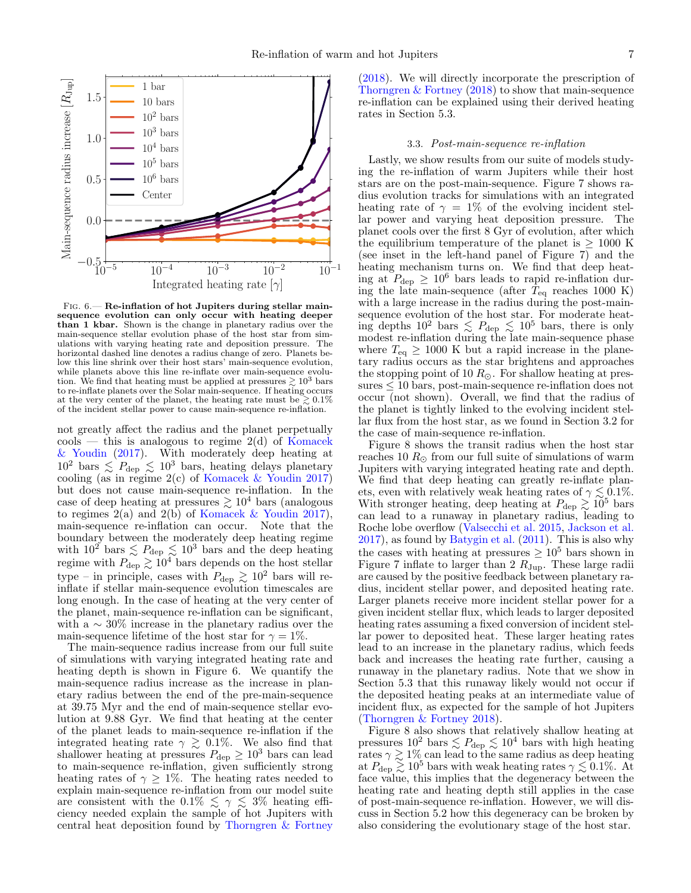

<span id="page-6-1"></span>FIG. 6.— Re-inflation of hot Jupiters during stellar mainsequence evolution can only occur with heating deeper than 1 kbar. Shown is the change in planetary radius over the main-sequence stellar evolution phase of the host star from simulations with varying heating rate and deposition pressure. The horizontal dashed line denotes a radius change of zero. Planets below this line shrink over their host stars' main-sequence evolution, while planets above this line re-inflate over main-sequence evolution. We find that heating must be applied at pressures  $\geq 10^3$  bars to re-inflate planets over the Solar main-sequence. If heating occurs at the very center of the planet, the heating rate must be  $\geq 0.1\%$ of the incident stellar power to cause main-sequence re-inflation.

not greatly affect the radius and the planet perpetually  $\cosh - \cosh$  is analogous to regime 2(d) of [Komacek](#page-14-24) [& Youdin](#page-14-24) [\(2017\)](#page-14-24). With moderately deep heating at  $10^2$  bars  $\lesssim P_{\text{dep}} \lesssim 10^3$  bars, heating delays planetary cooling (as in regime 2(c) of [Komacek & Youdin](#page-14-24) [2017\)](#page-14-24) but does not cause main-sequence re-inflation. In the case of deep heating at pressures  $\geq 10^4$  bars (analogous to regimes  $2(a)$  and  $2(b)$  of [Komacek & Youdin](#page-14-24) [2017\)](#page-14-24), main-sequence re-inflation can occur. Note that the boundary between the moderately deep heating regime with  $10^{2}$  bars  $\leq P_{\text{dep}} \leq 10^{3}$  bars and the deep heating regime with  $P_{\text{dep}} \gtrsim 10^4$  bars depends on the host stellar type – in principle, cases with  $P_{\text{dep}} \gtrsim 10^2$  bars will reinflate if stellar main-sequence evolution timescales are long enough. In the case of heating at the very center of the planet, main-sequence re-inflation can be significant, with a  $\sim 30\%$  increase in the planetary radius over the main-sequence lifetime of the host star for  $\gamma = 1\%$ .

The main-sequence radius increase from our full suite of simulations with varying integrated heating rate and heating depth is shown in Figure [6.](#page-6-1) We quantify the main-sequence radius increase as the increase in planetary radius between the end of the pre-main-sequence at 39.75 Myr and the end of main-sequence stellar evolution at 9.88 Gyr. We find that heating at the center of the planet leads to main-sequence re-inflation if the integrated heating rate  $\gamma \geq 0.1\%$ . We also find that shallower heating at pressures  $P_{\text{dep}} \geq 10^3$  bars can lead<br>to main-sequence re-inflation, given sufficiently strong heating rates of  $\gamma \geq 1\%$ . The heating rates needed to explain main-sequence re-inflation from our model suite are consistent with the 0.1%  $\leq \gamma \leq 3$ % heating efficiency needed explain the sample of hot Jupiters with central heat deposition found by [Thorngren & Fortney](#page-14-20)

[\(2018\)](#page-14-20). We will directly incorporate the prescription of [Thorngren & Fortney](#page-14-20) [\(2018\)](#page-14-20) to show that main-sequence re-inflation can be explained using their derived heating rates in Section [5.3.](#page-10-0)

## 3.3. Post-main-sequence re-inflation

<span id="page-6-0"></span>Lastly, we show results from our suite of models studying the re-inflation of warm Jupiters while their host stars are on the post-main-sequence. Figure [7](#page-7-1) shows radius evolution tracks for simulations with an integrated heating rate of  $\gamma = 1\%$  of the evolving incident stellar power and varying heat deposition pressure. The planet cools over the first 8 Gyr of evolution, after which the equilibrium temperature of the planet is  $> 1000$  K (see inset in the left-hand panel of Figure [7\)](#page-7-1) and the heating mechanism turns on. We find that deep heating at  $P_{\text{dep}} \geq 10^6$  bars leads to rapid re-inflation during the late main-sequence (after  $T_{\text{eq}}$  reaches 1000 K) with a large increase in the radius during the post-mainsequence evolution of the host star. For moderate heating depths  $10^2$  bars  $\leq P_{\text{dep}} \leq 10^5$  bars, there is only modest re-inflation during the late main-sequence phase where  $T_{\text{eq}} \geq 1000 \text{ K}$  but a rapid increase in the planetary radius occurs as the star brightens and approaches the stopping point of 10  $R_{\odot}$ . For shallow heating at pressures  $\leq 10$  bars, post-main-sequence re-inflation does not occur (not shown). Overall, we find that the radius of the planet is tightly linked to the evolving incident stellar flux from the host star, as we found in Section [3.2](#page-5-0) for the case of main-sequence re-inflation.

Figure [8](#page-8-2) shows the transit radius when the host star reaches 10  $R_{\odot}$  from our full suite of simulations of warm Jupiters with varying integrated heating rate and depth. We find that deep heating can greatly re-inflate planets, even with relatively weak heating rates of  $\gamma \lesssim 0.1\%$ . With stronger heating, deep heating at  $P_{\text{dep}} \gtrsim 10^5$  bars can lead to a runaway in planetary radius, leading to Roche lobe overflow [\(Valsecchi et al.](#page-14-33) [2015,](#page-14-33) [Jackson et al.](#page-13-32) [2017\)](#page-13-32), as found by [Batygin et al.](#page-13-14) [\(2011\)](#page-13-14). This is also why the cases with heating at pressures  $\geq 10^5$  bars shown in Figure [7](#page-7-1) inflate to larger than 2  $R_{\text{Jup}}$ . These large radii are caused by the positive feedback between planetary radius, incident stellar power, and deposited heating rate. Larger planets receive more incident stellar power for a given incident stellar flux, which leads to larger deposited heating rates assuming a fixed conversion of incident stellar power to deposited heat. These larger heating rates lead to an increase in the planetary radius, which feeds back and increases the heating rate further, causing a runaway in the planetary radius. Note that we show in Section [5.3](#page-10-0) that this runaway likely would not occur if the deposited heating peaks at an intermediate value of incident flux, as expected for the sample of hot Jupiters [\(Thorngren & Fortney](#page-14-20) [2018\)](#page-14-20).

Figure [8](#page-8-2) also shows that relatively shallow heating at pressures  $10^2$  bars  $\lesssim P_{\text{dep}} \lesssim 10^4$  bars with high heating rates  $\gamma \gtrsim 1\%$  can lead to the same radius as deep heating at  $P_{\text{dep}} \geq 10^5$  bars with weak heating rates  $\gamma \lesssim 0.1\%$ . At face value, this implies that the degeneracy between the heating rate and heating depth still applies in the case of post-main-sequence re-inflation. However, we will discuss in Section [5.2](#page-10-1) how this degeneracy can be broken by also considering the evolutionary stage of the host star.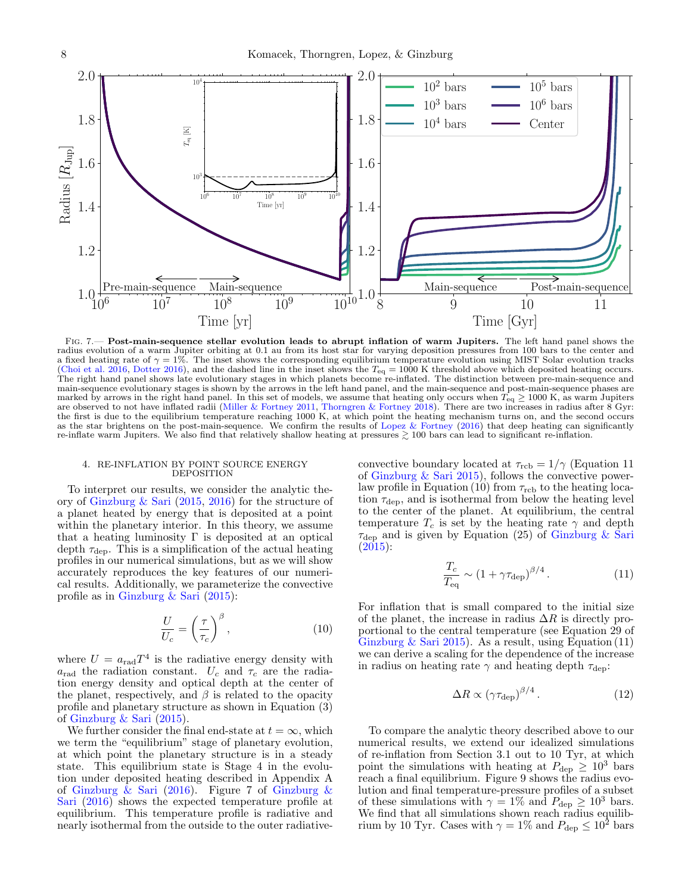

<span id="page-7-1"></span>Fig. 7.— Post-main-sequence stellar evolution leads to abrupt inflation of warm Jupiters. The left hand panel shows the radius evolution of a warm Jupiter orbiting at 0.1 au from its host star for varying deposition pressures from 100 bars to the center and a fixed heating rate of  $\gamma = 1\%$ . The inset shows the corresponding equilibrium temperature evolution using MIST Solar evolution tracks [\(Choi et al.](#page-13-30) [2016,](#page-13-30) [Dotter](#page-13-31) [2016\)](#page-13-31), and the dashed line in the inset shows the  $T_{eq} = 1000$  K threshold above which deposited heating occurs.<br>The right hand panel shows late evolutionary stages in which planets become re-inf main-sequence evolutionary stages is shown by the arrows in the left hand panel, and the main-sequence and post-main-sequence phases are marked by arrows in the right hand panel. In this set of models, we assume that heating only occurs when  $T_{eq} \ge 1000$  K, as warm Jupiters are observed to not have inflated radii [\(Miller & Fortney](#page-14-19) [2011,](#page-14-19) [Thorngren & Fortney](#page-14-20) [2018\)](#page-14-20). There are two increases in radius after 8 Gyr: the first is due to the equilibrium temperature reaching 1000 K, at which point the heating mechanism turns on, and the second occurs as the star brightens on the post-main-sequence. We confirm the results of [Lopez & Fortney](#page-14-21) [\(2016\)](#page-14-21) that deep heating can significantly re-inflate warm Jupiters. We also find that relatively shallow heating at pressures  $\gtrsim 100$  bars can lead to significant re-inflation.

#### <span id="page-7-0"></span>4. RE-INFLATION BY POINT SOURCE ENERGY DEPOSITION

To interpret our results, we consider the analytic theory of [Ginzburg & Sari](#page-13-22) [\(2015,](#page-13-22) [2016\)](#page-13-16) for the structure of a planet heated by energy that is deposited at a point within the planetary interior. In this theory, we assume that a heating luminosity  $\Gamma$  is deposited at an optical depth  $\tau_{\text{dep}}$ . This is a simplification of the actual heating profiles in our numerical simulations, but as we will show accurately reproduces the key features of our numerical results. Additionally, we parameterize the convective profile as in [Ginzburg & Sari](#page-13-22) [\(2015\)](#page-13-22):

<span id="page-7-2"></span>
$$
\frac{U}{U_c} = \left(\frac{\tau}{\tau_c}\right)^{\beta},\tag{10}
$$

where  $U = a_{\text{rad}} T^4$  is the radiative energy density with  $a_{\text{rad}}$  the radiation constant.  $U_c$  and  $\tau_c$  are the radiation energy density and optical depth at the center of the planet, respectively, and  $\beta$  is related to the opacity profile and planetary structure as shown in Equation (3) of [Ginzburg & Sari](#page-13-22) [\(2015\)](#page-13-22).

We further consider the final end-state at  $t = \infty$ , which we term the "equilibrium" stage of planetary evolution, at which point the planetary structure is in a steady state. This equilibrium state is Stage 4 in the evolution under deposited heating described in Appendix A of Ginzburg  $\&$  Sari [\(2016\)](#page-13-16). Figure 7 of Ginzburg  $\&$ [Sari](#page-13-16) [\(2016\)](#page-13-16) shows the expected temperature profile at equilibrium. This temperature profile is radiative and nearly isothermal from the outside to the outer radiativeconvective boundary located at  $\tau_{\text{rcb}} = 1/\gamma$  (Equation 11) of [Ginzburg & Sari](#page-13-22) [2015\)](#page-13-22), follows the convective power-law profile in Equation [\(10\)](#page-7-2) from  $\tau_{\rm rcb}$  to the heating location  $\tau_{\rm dep}$ , and is isothermal from below the heating level to the center of the planet. At equilibrium, the central temperature  $T_c$  is set by the heating rate  $\gamma$  and depth  $\tau_{\rm dep}$  and is given by Equation (25) of [Ginzburg & Sari](#page-13-22)  $(2015):$  $(2015):$ 

<span id="page-7-3"></span>
$$
\frac{T_c}{T_{\text{eq}}} \sim \left(1 + \gamma \tau_{\text{dep}}\right)^{\beta/4}.\tag{11}
$$

For inflation that is small compared to the initial size of the planet, the increase in radius  $\Delta R$  is directly proportional to the central temperature (see Equation 29 of [Ginzburg & Sari](#page-13-22) [2015\)](#page-13-22). As a result, using Equation  $(11)$ we can derive a scaling for the dependence of the increase in radius on heating rate  $\gamma$  and heating depth  $\tau_{\text{dep}}$ :

<span id="page-7-4"></span>
$$
\Delta R \propto (\gamma \tau_{\rm dep})^{\beta/4} \,. \tag{12}
$$

To compare the analytic theory described above to our numerical results, we extend our idealized simulations of re-inflation from Section [3.1](#page-3-1) out to 10 Tyr, at which point the simulations with heating at  $P_{\text{dep}} \geq 10^3$  bars reach a final equilibrium. Figure [9](#page-9-0) shows the radius evolution and final temperature-pressure profiles of a subset of these simulations with  $\gamma = 1\%$  and  $P_{\text{dep}} \ge 10^3$  bars.<br>We find that all simulations shown reach radius equilibrium by 10 Tyr. Cases with  $\gamma = 1\%$  and  $P_{\text{dep}} \leq 10^2$  bars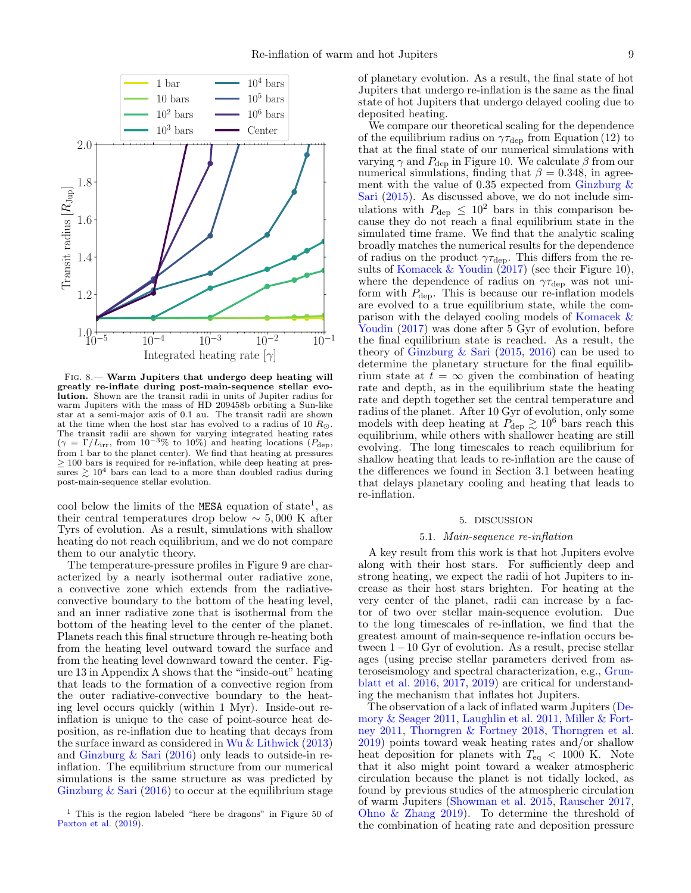

<span id="page-8-2"></span>Fig. 8.— Warm Jupiters that undergo deep heating will greatly re-inflate during post-main-sequence stellar evolution. Shown are the transit radii in units of Jupiter radius for warm Jupiters with the mass of HD 209458b orbiting a Sun-like star at a semi-major axis of 0.1 au. The transit radii are shown at the time when the host star has evolved to a radius of 10  $R_{\odot}$ . The transit radii are shown for varying integrated heating rates  $(\gamma = \Gamma/L_{irr}$ , from 10<sup>-3</sup>% to 10%) and heating locations ( $P_{\text{dep}}$ ) from 1 bar to the planet center). We find that heating at pressures  $\geq$  100 bars is required for re-inflation, while deep heating at pressures  $\gtrsim 10^4$  bars can lead to a more than doubled radius during post-main-sequence stellar evolution.

cool below the limits of the MESA equation of state<sup>[1](#page-8-3)</sup>, as their central temperatures drop below  $\sim$  5,000 K after Tyrs of evolution. As a result, simulations with shallow heating do not reach equilibrium, and we do not compare them to our analytic theory.

The temperature-pressure profiles in Figure [9](#page-9-0) are characterized by a nearly isothermal outer radiative zone, a convective zone which extends from the radiativeconvective boundary to the bottom of the heating level, and an inner radiative zone that is isothermal from the bottom of the heating level to the center of the planet. Planets reach this final structure through re-heating both from the heating level outward toward the surface and from the heating level downward toward the center. Figure [13](#page-13-33) in Appendix [A](#page-12-0) shows that the "inside-out" heating that leads to the formation of a convective region from the outer radiative-convective boundary to the heating level occurs quickly (within 1 Myr). Inside-out reinflation is unique to the case of point-source heat deposition, as re-inflation due to heating that decays from the surface inward as considered in [Wu & Lithwick](#page-14-15) [\(2013\)](#page-14-15) and [Ginzburg & Sari](#page-13-16) [\(2016\)](#page-13-16) only leads to outside-in reinflation. The equilibrium structure from our numerical simulations is the same structure as was predicted by Ginzburg  $\&$  Sari [\(2016\)](#page-13-16) to occur at the equilibrium stage of planetary evolution. As a result, the final state of hot Jupiters that undergo re-inflation is the same as the final state of hot Jupiters that undergo delayed cooling due to deposited heating.

We compare our theoretical scaling for the dependence of the equilibrium radius on  $\gamma \tau_{\text{dep}}$  from Equation [\(12\)](#page-7-4) to that at the final state of our numerical simulations with varying  $\gamma$  and  $P_{\text{dep}}$  in Figure [10.](#page-9-1) We calculate  $\beta$  from our numerical simulations, finding that  $\beta = 0.348$ , in agreement with the value of 0.35 expected from [Ginzburg &](#page-13-22) [Sari](#page-13-22) [\(2015\)](#page-13-22). As discussed above, we do not include simulations with  $P_{\text{dep}} \leq 10^2$  bars in this comparison because they do not reach a final equilibrium state in the simulated time frame. We find that the analytic scaling broadly matches the numerical results for the dependence of radius on the product  $\gamma \tau_{\text{dep}}$ . This differs from the results of [Komacek & Youdin](#page-14-24) [\(2017\)](#page-14-24) (see their Figure 10), where the dependence of radius on  $\gamma \tau_{\text{dep}}$  was not uniform with  $P_{\text{dep}}$ . This is because our re-inflation models are evolved to a true equilibrium state, while the comparison with the delayed cooling models of [Komacek &](#page-14-24) [Youdin](#page-14-24)  $(2017)$  was done after 5 Gyr of evolution, before the final equilibrium state is reached. As a result, the theory of Ginzburg  $\&$  Sari [\(2015,](#page-13-22) [2016\)](#page-13-16) can be used to determine the planetary structure for the final equilibrium state at  $t = \infty$  given the combination of heating rate and depth, as in the equilibrium state the heating rate and depth together set the central temperature and radius of the planet. After 10 Gyr of evolution, only some models with deep heating at  $\tilde{P}_{\text{dep}} \gtrsim 10^6$  bars reach this equilibrium, while others with shallower heating are still evolving. The long timescales to reach equilibrium for shallow heating that leads to re-inflation are the cause of the differences we found in Section [3.1](#page-3-1) between heating that delays planetary cooling and heating that leads to re-inflation.

### 5. DISCUSSION

## 5.1. Main-sequence re-inflation

<span id="page-8-1"></span><span id="page-8-0"></span>A key result from this work is that hot Jupiters evolve along with their host stars. For sufficiently deep and strong heating, we expect the radii of hot Jupiters to increase as their host stars brighten. For heating at the very center of the planet, radii can increase by a factor of two over stellar main-sequence evolution. Due to the long timescales of re-inflation, we find that the greatest amount of main-sequence re-inflation occurs between 1−10 Gyr of evolution. As a result, precise stellar ages (using precise stellar parameters derived from asteroseismology and spectral characterization, e.g., [Grun](#page-13-18)[blatt et al.](#page-13-18) [2016,](#page-13-18) [2017,](#page-13-19) [2019\)](#page-13-20) are critical for understanding the mechanism that inflates hot Jupiters.

The observation of a lack of inflated warm Jupiters [\(De](#page-13-17)[mory & Seager](#page-13-17) [2011,](#page-13-17) [Laughlin et al.](#page-14-18) [2011,](#page-14-18) [Miller & Fort](#page-14-19)[ney](#page-14-19) [2011,](#page-14-19) [Thorngren & Fortney](#page-14-20) [2018,](#page-14-20) [Thorngren et al.](#page-14-41) [2019\)](#page-14-41) points toward weak heating rates and/or shallow heat deposition for planets with  $T_{eq}$  < 1000 K. Note that it also might point toward a weaker atmospheric circulation because the planet is not tidally locked, as found by previous studies of the atmospheric circulation of warm Jupiters [\(Showman et al.](#page-14-42) [2015,](#page-14-42) [Rauscher](#page-14-43) [2017,](#page-14-43) Ohno  $&$  Zhang [2019\)](#page-14-44). To determine the threshold of the combination of heating rate and deposition pressure

<span id="page-8-3"></span><sup>1</sup> This is the region labeled "here be dragons" in Figure 50 of [Paxton et al.](#page-14-29) [\(2019\)](#page-14-29).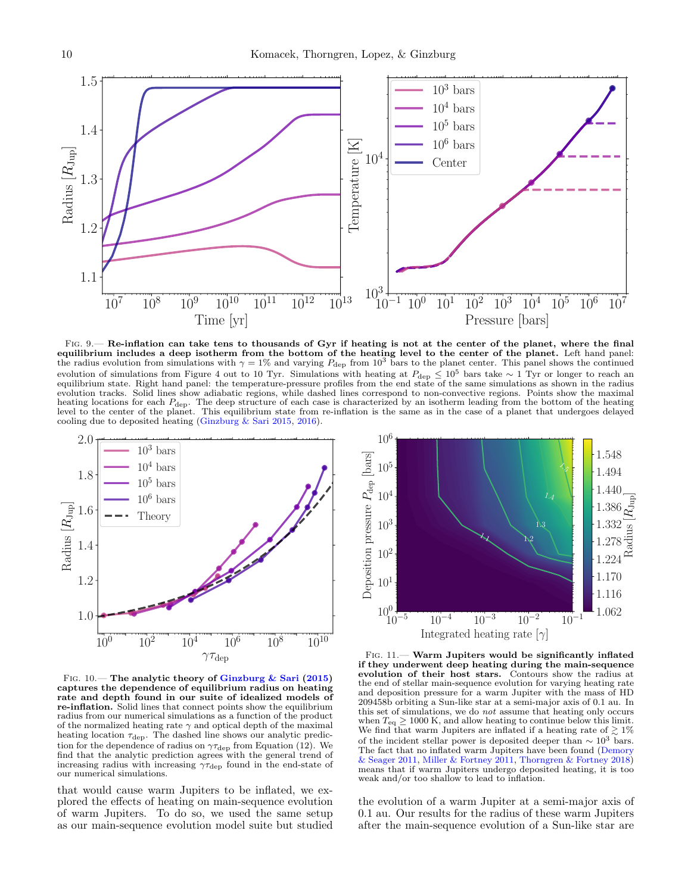

<span id="page-9-0"></span>FIG. 9.— Re-inflation can take tens to thousands of Gyr if heating is not at the center of the planet, where the final equilibrium includes a deep isotherm from the bottom of the heating level to the center of the planet. Left hand panel:<br>the radius evolution from simulations with  $\gamma = 1\%$  and varying  $P_{\text{dep}}$  from  $10^3$  bars to the pl evolution of simulations from Figure [4](#page-5-1) out to 10 Tyr. Simulations with heating at  $P_{\text{dep}} \leq 10^5$  bars take  $\sim 1$  Tyr or longer to reach an equilibrium state. Right hand panel: the temperature-pressure profiles from th evolution tracks. Solid lines show adiabatic regions, while dashed lines correspond to non-convective regions. Points show the maximal heating locations for each P<sub>dep</sub>. The deep structure of each case is characterized by an isotherm leading from the bottom of the heating<br>level to the center of the planet. This equilibrium state from re-inflation is the s cooling due to deposited heating [\(Ginzburg & Sari](#page-13-22) [2015,](#page-13-22) [2016\)](#page-13-16).



<span id="page-9-1"></span>FIG.  $10$  – The analytic theory of [Ginzburg & Sari](#page-13-22) [\(2015\)](#page-13-22) captures the dependence of equilibrium radius on heating rate and depth found in our suite of idealized models of re-inflation. Solid lines that connect points show the equilibrium radius from our numerical simulations as a function of the product of the normalized heating rate  $\gamma$  and optical depth of the maximal heating location  $\tau_{\text{dep}}$ . The dashed line shows our analytic prediction for the dependence of radius on  $\gamma \tau_{\text{dep}}$  from Equation [\(12\)](#page-7-4). We find that the analytic prediction agrees with the general trend of increasing radius with increasing  $\gamma \tau_{\text{dep}}$  found in the end-state of our numerical simulations.

that would cause warm Jupiters to be inflated, we explored the effects of heating on main-sequence evolution of warm Jupiters. To do so, we used the same setup as our main-sequence evolution model suite but studied



<span id="page-9-2"></span>Fig. 11.— Warm Jupiters would be significantly inflated if they underwent deep heating during the main-sequence evolution of their host stars. Contours show the radius at the end of stellar main-sequence evolution for varying heating rate and deposition pressure for a warm Jupiter with the mass of HD 209458b orbiting a Sun-like star at a semi-major axis of 0.1 au. In this set of simulations, we do not assume that heating only occurs when  $T_{\text{eq}} \geq 1000$  K, and allow heating to continue below this limit.<br>We find that warm Jupiters are inflated if a heating rate of  $\gtrsim 1\%$ of the incident stellar power is deposited deeper than  $\sim 10^3$  bars. The fact that no inflated warm Jupiters have been found [\(Demory](#page-13-17) [& Seager](#page-13-17) [2011,](#page-13-17) [Miller & Fortney](#page-14-19) [2011,](#page-14-19) [Thorngren & Fortney](#page-14-20) [2018\)](#page-14-20) means that if warm Jupiters undergo deposited heating, it is too weak and/or too shallow to lead to inflation.

the evolution of a warm Jupiter at a semi-major axis of 0.1 au. Our results for the radius of these warm Jupiters after the main-sequence evolution of a Sun-like star are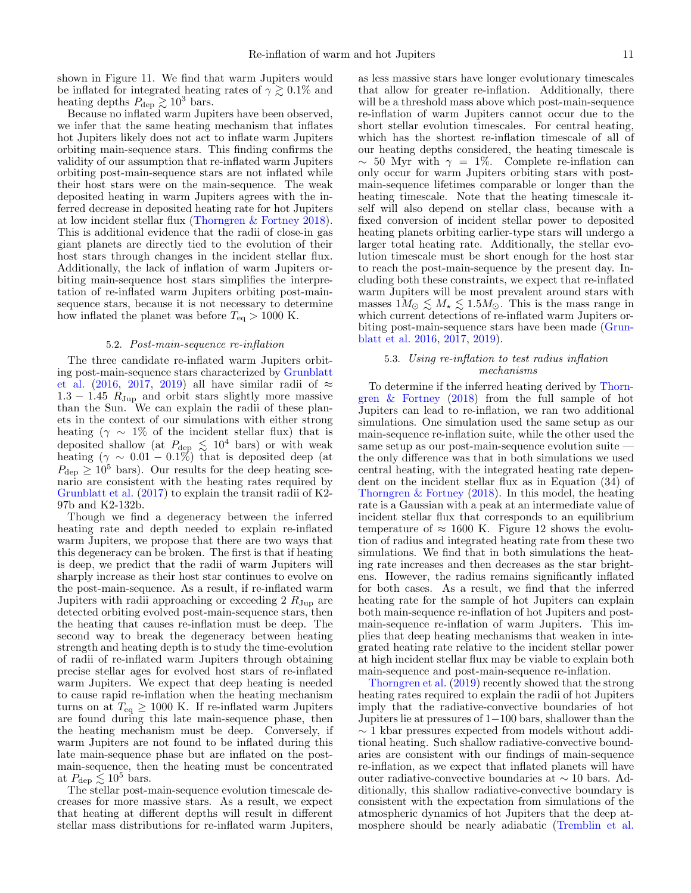shown in Figure [11.](#page-9-2) We find that warm Jupiters would be inflated for integrated heating rates of  $\gamma \gtrsim 0.1\%$  and heating depths  $P_{\text{dep}} \gtrsim 10^3$  bars.

Because no inflated warm Jupiters have been observed, we infer that the same heating mechanism that inflates hot Jupiters likely does not act to inflate warm Jupiters orbiting main-sequence stars. This finding confirms the validity of our assumption that re-inflated warm Jupiters orbiting post-main-sequence stars are not inflated while their host stars were on the main-sequence. The weak deposited heating in warm Jupiters agrees with the inferred decrease in deposited heating rate for hot Jupiters at low incident stellar flux [\(Thorngren & Fortney](#page-14-20) [2018\)](#page-14-20). This is additional evidence that the radii of close-in gas giant planets are directly tied to the evolution of their host stars through changes in the incident stellar flux. Additionally, the lack of inflation of warm Jupiters orbiting main-sequence host stars simplifies the interpretation of re-inflated warm Jupiters orbiting post-mainsequence stars, because it is not necessary to determine how inflated the planet was before  $T_{eq} > 1000$  K.

#### 5.2. Post-main-sequence re-inflation

<span id="page-10-1"></span>The three candidate re-inflated warm Jupiters orbiting post-main-sequence stars characterized by [Grunblatt](#page-13-18) [et al.](#page-13-18) [\(2016,](#page-13-18) [2017,](#page-13-19) [2019\)](#page-13-20) all have similar radii of  $\approx$  $1.3 - 1.45$   $R_{\text{Jup}}$  and orbit stars slightly more massive than the Sun. We can explain the radii of these planets in the context of our simulations with either strong heating ( $\gamma \sim 1\%$  of the incident stellar flux) that is deposited shallow (at  $P_{\text{dep}} \lesssim 10^4$  bars) or with weak heating  $(\gamma \sim 0.01 - 0.1\%)$  that is deposited deep (at  $P_{\text{dep}} \geq 10^5$  bars). Our results for the deep heating scenario are consistent with the heating rates required by [Grunblatt et al.](#page-13-19) [\(2017\)](#page-13-19) to explain the transit radii of K2- 97b and K2-132b.

Though we find a degeneracy between the inferred heating rate and depth needed to explain re-inflated warm Jupiters, we propose that there are two ways that this degeneracy can be broken. The first is that if heating is deep, we predict that the radii of warm Jupiters will sharply increase as their host star continues to evolve on the post-main-sequence. As a result, if re-inflated warm Jupiters with radii approaching or exceeding 2  $R_{\text{Jup}}$  are detected orbiting evolved post-main-sequence stars, then the heating that causes re-inflation must be deep. The second way to break the degeneracy between heating strength and heating depth is to study the time-evolution of radii of re-inflated warm Jupiters through obtaining precise stellar ages for evolved host stars of re-inflated warm Jupiters. We expect that deep heating is needed to cause rapid re-inflation when the heating mechanism turns on at  $T_{\text{eq}} \geq 1000 \text{ K}$ . If re-inflated warm Jupiters are found during this late main-sequence phase, then the heating mechanism must be deep. Conversely, if warm Jupiters are not found to be inflated during this late main-sequence phase but are inflated on the postmain-sequence, then the heating must be concentrated at  $P_{\text{dep}} \lesssim 10^5$  bars.

The stellar post-main-sequence evolution timescale decreases for more massive stars. As a result, we expect that heating at different depths will result in different stellar mass distributions for re-inflated warm Jupiters,

as less massive stars have longer evolutionary timescales that allow for greater re-inflation. Additionally, there will be a threshold mass above which post-main-sequence re-inflation of warm Jupiters cannot occur due to the short stellar evolution timescales. For central heating, which has the shortest re-inflation timescale of all of our heating depths considered, the heating timescale is  $\sim$  50 Myr with  $\gamma = 1\%$ . Complete re-inflation can only occur for warm Jupiters orbiting stars with postmain-sequence lifetimes comparable or longer than the heating timescale. Note that the heating timescale itself will also depend on stellar class, because with a fixed conversion of incident stellar power to deposited heating planets orbiting earlier-type stars will undergo a larger total heating rate. Additionally, the stellar evolution timescale must be short enough for the host star to reach the post-main-sequence by the present day. Including both these constraints, we expect that re-inflated warm Jupiters will be most prevalent around stars with masses  $1M_{\odot} \lesssim M_{\star} \lesssim 1.5M_{\odot}$ . This is the mass range in which current detections of re-inflated warm Jupiters orbiting post-main-sequence stars have been made [\(Grun](#page-13-18)[blatt et al.](#page-13-18) [2016,](#page-13-18) [2017,](#page-13-19) [2019\)](#page-13-20).

# <span id="page-10-0"></span>5.3. Using re-inflation to test radius inflation mechanisms

To determine if the inferred heating derived by [Thorn](#page-14-20)[gren & Fortney](#page-14-20) [\(2018\)](#page-14-20) from the full sample of hot Jupiters can lead to re-inflation, we ran two additional simulations. One simulation used the same setup as our main-sequence re-inflation suite, while the other used the same setup as our post-main-sequence evolution suite the only difference was that in both simulations we used central heating, with the integrated heating rate dependent on the incident stellar flux as in Equation (34) of Thorngren  $&$  Fortney [\(2018\)](#page-14-20). In this model, the heating rate is a Gaussian with a peak at an intermediate value of incident stellar flux that corresponds to an equilibrium temperature of  $\approx 1600$  K. Figure [12](#page-11-1) shows the evolution of radius and integrated heating rate from these two simulations. We find that in both simulations the heating rate increases and then decreases as the star brightens. However, the radius remains significantly inflated for both cases. As a result, we find that the inferred heating rate for the sample of hot Jupiters can explain both main-sequence re-inflation of hot Jupiters and postmain-sequence re-inflation of warm Jupiters. This implies that deep heating mechanisms that weaken in integrated heating rate relative to the incident stellar power at high incident stellar flux may be viable to explain both main-sequence and post-main-sequence re-inflation.

[Thorngren et al.](#page-14-41) [\(2019\)](#page-14-41) recently showed that the strong heating rates required to explain the radii of hot Jupiters imply that the radiative-convective boundaries of hot Jupiters lie at pressures of 1−100 bars, shallower than the  $\sim$  1 kbar pressures expected from models without additional heating. Such shallow radiative-convective boundaries are consistent with our findings of main-sequence re-inflation, as we expect that inflated planets will have outer radiative-convective boundaries at ∼ 10 bars. Additionally, this shallow radiative-convective boundary is consistent with the expectation from simulations of the atmospheric dynamics of hot Jupiters that the deep atmosphere should be nearly adiabatic [\(Tremblin et al.](#page-14-10)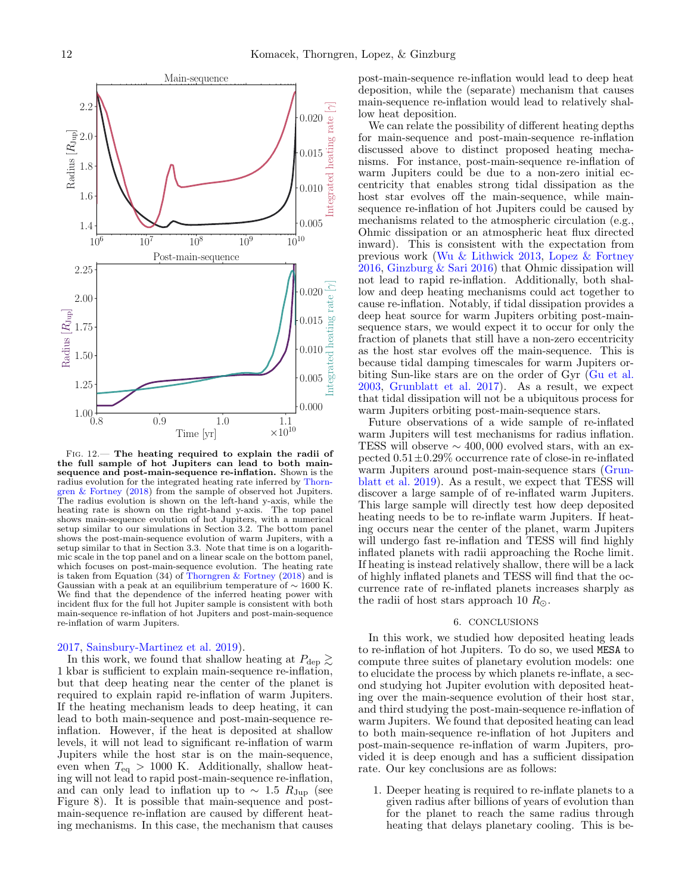

<span id="page-11-1"></span>Fig. 12.— The heating required to explain the radii of the full sample of hot Jupiters can lead to both mainsequence and post-main-sequence re-inflation. Shown is the radius evolution for the integrated heating rate inferred by [Thorn](#page-14-20)[gren & Fortney](#page-14-20) [\(2018\)](#page-14-20) from the sample of observed hot Jupiters. The radius evolution is shown on the left-hand y-axis, while the heating rate is shown on the right-hand y-axis. The top panel shows main-sequence evolution of hot Jupiters, with a numerical setup similar to our simulations in Section [3.2.](#page-5-0) The bottom panel shows the post-main-sequence evolution of warm Jupiters, with a setup similar to that in Section [3.3.](#page-6-0) Note that time is on a logarithmic scale in the top panel and on a linear scale on the bottom panel, which focuses on post-main-sequence evolution. The heating rate is taken from Equation (34) of [Thorngren & Fortney](#page-14-20) [\(2018\)](#page-14-20) and is Gaussian with a peak at an equilibrium temperature of  $\sim$  1600 K. We find that the dependence of the inferred heating power with incident flux for the full hot Jupiter sample is consistent with both main-sequence re-inflation of hot Jupiters and post-main-sequence re-inflation of warm Jupiters.

#### [2017,](#page-14-10) [Sainsbury-Martinez et al.](#page-14-11) [2019\)](#page-14-11).

In this work, we found that shallow heating at  $P_{\text{dep}} \gtrsim$ 1 kbar is sufficient to explain main-sequence re-inflation, but that deep heating near the center of the planet is required to explain rapid re-inflation of warm Jupiters. If the heating mechanism leads to deep heating, it can lead to both main-sequence and post-main-sequence reinflation. However, if the heat is deposited at shallow levels, it will not lead to significant re-inflation of warm Jupiters while the host star is on the main-sequence, even when  $T_{\text{eq}} > 1000$  K. Additionally, shallow heating will not lead to rapid post-main-sequence re-inflation, and can only lead to inflation up to  $\sim 1.5 R_{\text{Jup}}$  (see Figure [8\)](#page-8-2). It is possible that main-sequence and postmain-sequence re-inflation are caused by different heating mechanisms. In this case, the mechanism that causes

post-main-sequence re-inflation would lead to deep heat deposition, while the (separate) mechanism that causes main-sequence re-inflation would lead to relatively shallow heat deposition.

We can relate the possibility of different heating depths for main-sequence and post-main-sequence re-inflation discussed above to distinct proposed heating mechanisms. For instance, post-main-sequence re-inflation of warm Jupiters could be due to a non-zero initial eccentricity that enables strong tidal dissipation as the host star evolves off the main-sequence, while mainsequence re-inflation of hot Jupiters could be caused by mechanisms related to the atmospheric circulation (e.g., Ohmic dissipation or an atmospheric heat flux directed inward). This is consistent with the expectation from previous work [\(Wu & Lithwick](#page-14-15) [2013,](#page-14-15) [Lopez & Fortney](#page-14-21) [2016,](#page-14-21) [Ginzburg & Sari](#page-13-16) [2016\)](#page-13-16) that Ohmic dissipation will not lead to rapid re-inflation. Additionally, both shallow and deep heating mechanisms could act together to cause re-inflation. Notably, if tidal dissipation provides a deep heat source for warm Jupiters orbiting post-mainsequence stars, we would expect it to occur for only the fraction of planets that still have a non-zero eccentricity as the host star evolves off the main-sequence. This is because tidal damping timescales for warm Jupiters orbiting Sun-like stars are on the order of Gyr [\(Gu et al.](#page-13-5) [2003,](#page-13-5) [Grunblatt et al.](#page-13-19) [2017\)](#page-13-19). As a result, we expect that tidal dissipation will not be a ubiquitous process for warm Jupiters orbiting post-main-sequence stars.

Future observations of a wide sample of re-inflated warm Jupiters will test mechanisms for radius inflation. TESS will observe  $\sim$  400,000 evolved stars, with an expected  $0.51\pm0.29\%$  occurrence rate of close-in re-inflated warm Jupiters around post-main-sequence stars [\(Grun](#page-13-20)[blatt et al.](#page-13-20) [2019\)](#page-13-20). As a result, we expect that TESS will discover a large sample of of re-inflated warm Jupiters. This large sample will directly test how deep deposited heating needs to be to re-inflate warm Jupiters. If heating occurs near the center of the planet, warm Jupiters will undergo fast re-inflation and TESS will find highly inflated planets with radii approaching the Roche limit. If heating is instead relatively shallow, there will be a lack of highly inflated planets and TESS will find that the occurrence rate of re-inflated planets increases sharply as the radii of host stars approach 10  $R_{\odot}$ .

## 6. CONCLUSIONS

<span id="page-11-0"></span>In this work, we studied how deposited heating leads to re-inflation of hot Jupiters. To do so, we used MESA to compute three suites of planetary evolution models: one to elucidate the process by which planets re-inflate, a second studying hot Jupiter evolution with deposited heating over the main-sequence evolution of their host star, and third studying the post-main-sequence re-inflation of warm Jupiters. We found that deposited heating can lead to both main-sequence re-inflation of hot Jupiters and post-main-sequence re-inflation of warm Jupiters, provided it is deep enough and has a sufficient dissipation rate. Our key conclusions are as follows:

1. Deeper heating is required to re-inflate planets to a given radius after billions of years of evolution than for the planet to reach the same radius through heating that delays planetary cooling. This is be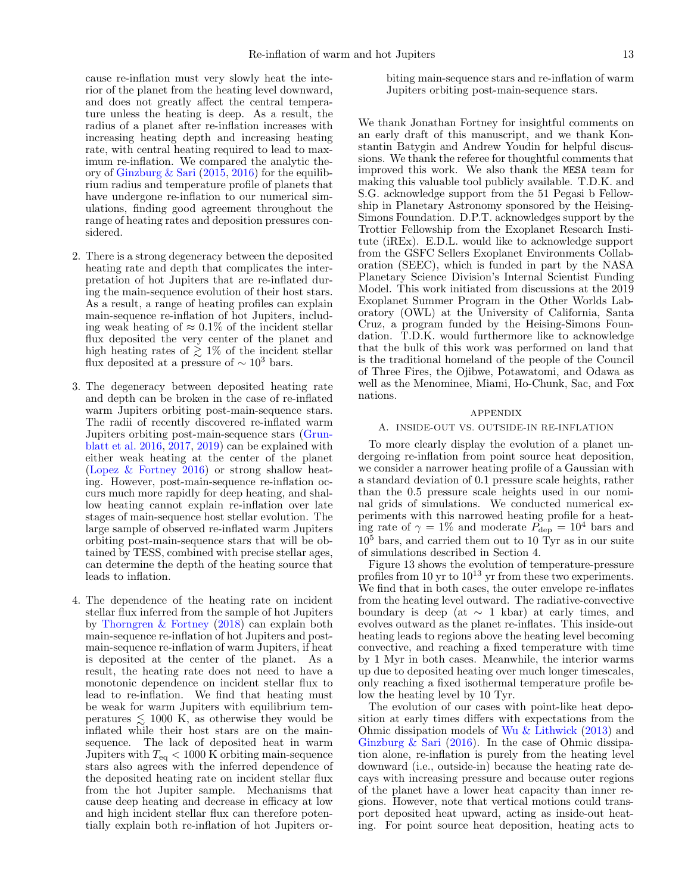cause re-inflation must very slowly heat the interior of the planet from the heating level downward, and does not greatly affect the central temperature unless the heating is deep. As a result, the radius of a planet after re-inflation increases with increasing heating depth and increasing heating rate, with central heating required to lead to maximum re-inflation. We compared the analytic theory of [Ginzburg & Sari](#page-13-22) [\(2015,](#page-13-22) [2016\)](#page-13-16) for the equilibrium radius and temperature profile of planets that have undergone re-inflation to our numerical simulations, finding good agreement throughout the range of heating rates and deposition pressures considered.

- 2. There is a strong degeneracy between the deposited heating rate and depth that complicates the interpretation of hot Jupiters that are re-inflated during the main-sequence evolution of their host stars. As a result, a range of heating profiles can explain main-sequence re-inflation of hot Jupiters, including weak heating of  $\approx 0.1\%$  of the incident stellar flux deposited the very center of the planet and high heating rates of  $\gtrsim 1\%$  of the incident stellar flux deposited at a pressure of  $\sim 10^3$  bars.
- 3. The degeneracy between deposited heating rate and depth can be broken in the case of re-inflated warm Jupiters orbiting post-main-sequence stars. The radii of recently discovered re-inflated warm Jupiters orbiting post-main-sequence stars [\(Grun](#page-13-18)[blatt et al.](#page-13-18) [2016,](#page-13-18) [2017,](#page-13-19) [2019\)](#page-13-20) can be explained with either weak heating at the center of the planet [\(Lopez & Fortney](#page-14-21) [2016\)](#page-14-21) or strong shallow heating. However, post-main-sequence re-inflation occurs much more rapidly for deep heating, and shallow heating cannot explain re-inflation over late stages of main-sequence host stellar evolution. The large sample of observed re-inflated warm Jupiters orbiting post-main-sequence stars that will be obtained by TESS, combined with precise stellar ages, can determine the depth of the heating source that leads to inflation.
- 4. The dependence of the heating rate on incident stellar flux inferred from the sample of hot Jupiters by [Thorngren & Fortney](#page-14-20) [\(2018\)](#page-14-20) can explain both main-sequence re-inflation of hot Jupiters and postmain-sequence re-inflation of warm Jupiters, if heat is deposited at the center of the planet. As a result, the heating rate does not need to have a monotonic dependence on incident stellar flux to lead to re-inflation. We find that heating must be weak for warm Jupiters with equilibrium temperatures  $\leq 1000$  K, as otherwise they would be inflated while their host stars are on the mainsequence. The lack of deposited heat in warm Jupiters with  $T_{\text{eq}} < 1000 \text{ K}$  orbiting main-sequence stars also agrees with the inferred dependence of the deposited heating rate on incident stellar flux from the hot Jupiter sample. Mechanisms that cause deep heating and decrease in efficacy at low and high incident stellar flux can therefore potentially explain both re-inflation of hot Jupiters or-

biting main-sequence stars and re-inflation of warm Jupiters orbiting post-main-sequence stars.

We thank Jonathan Fortney for insightful comments on an early draft of this manuscript, and we thank Konstantin Batygin and Andrew Youdin for helpful discussions. We thank the referee for thoughtful comments that improved this work. We also thank the MESA team for making this valuable tool publicly available. T.D.K. and S.G. acknowledge support from the 51 Pegasi b Fellowship in Planetary Astronomy sponsored by the Heising-Simons Foundation. D.P.T. acknowledges support by the Trottier Fellowship from the Exoplanet Research Institute (iREx). E.D.L. would like to acknowledge support from the GSFC Sellers Exoplanet Environments Collaboration (SEEC), which is funded in part by the NASA Planetary Science Division's Internal Scientist Funding Model. This work initiated from discussions at the 2019 Exoplanet Summer Program in the Other Worlds Laboratory (OWL) at the University of California, Santa Cruz, a program funded by the Heising-Simons Foundation. T.D.K. would furthermore like to acknowledge that the bulk of this work was performed on land that is the traditional homeland of the people of the Council of Three Fires, the Ojibwe, Potawatomi, and Odawa as well as the Menominee, Miami, Ho-Chunk, Sac, and Fox nations.

#### APPENDIX

### <span id="page-12-0"></span>A. INSIDE-OUT VS. OUTSIDE-IN RE-INFLATION

To more clearly display the evolution of a planet undergoing re-inflation from point source heat deposition, we consider a narrower heating profile of a Gaussian with a standard deviation of 0.1 pressure scale heights, rather than the 0.5 pressure scale heights used in our nominal grids of simulations. We conducted numerical experiments with this narrowed heating profile for a heating rate of  $\gamma = 1\%$  and moderate  $\overline{P_{\text{dep}}} = 10^4$  bars and  $10<sup>5</sup>$  bars, and carried them out to 10 Tyr as in our suite of simulations described in Section [4.](#page-7-0)

Figure [13](#page-13-33) shows the evolution of temperature-pressure profiles from 10 yr to  $10^{13}$  yr from these two experiments. We find that in both cases, the outer envelope re-inflates from the heating level outward. The radiative-convective boundary is deep (at  $\sim$  1 kbar) at early times, and evolves outward as the planet re-inflates. This inside-out heating leads to regions above the heating level becoming convective, and reaching a fixed temperature with time by 1 Myr in both cases. Meanwhile, the interior warms up due to deposited heating over much longer timescales, only reaching a fixed isothermal temperature profile below the heating level by 10 Tyr.

The evolution of our cases with point-like heat deposition at early times differs with expectations from the Ohmic dissipation models of [Wu & Lithwick](#page-14-15) [\(2013\)](#page-14-15) and [Ginzburg & Sari](#page-13-16) [\(2016\)](#page-13-16). In the case of Ohmic dissipation alone, re-inflation is purely from the heating level downward (i.e., outside-in) because the heating rate decays with increasing pressure and because outer regions of the planet have a lower heat capacity than inner regions. However, note that vertical motions could transport deposited heat upward, acting as inside-out heating. For point source heat deposition, heating acts to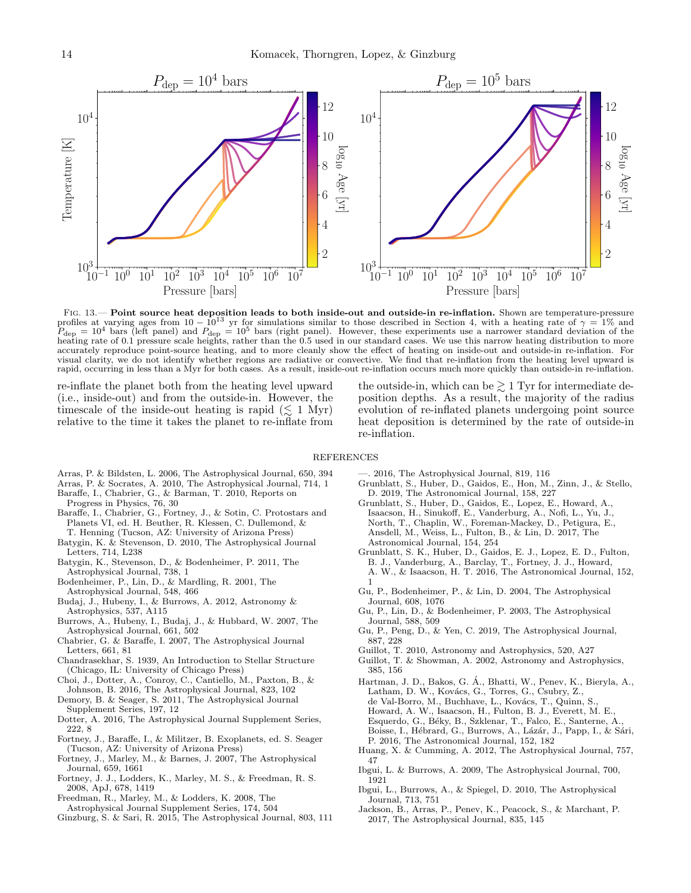

<span id="page-13-33"></span>FIG. 13.— Point source heat deposition leads to both inside-out and outside-in re-inflation. Shown are temperature-pressure profiles at varying ages from  $10-10^{13}$  yr for simulations similar to those described in Section [4,](#page-7-0) with a heating rate of  $\gamma=1\%$  and  $P_{\text{dep}} = 10^4$  bars (left panel) and  $P_{\text{dep}} = 10^5$  bars (right panel). However, these experiments use a narrower standard deviation of the heating rate of 0.1 pressure scale heights, rather than the 0.5 used in our standard cases. We use this narrow heating distribution to more accurately reproduce point-source heating, and to more cleanly show the effect of heating on inside-out and outside-in re-inflation. For visual clarity, we do not identify whether regions are radiative or convective. We find that re-inflation from the heating level upward is rapid, occurring in less than a Myr for both cases. As a result, inside-out re-inflation occurs much more quickly than outside-in re-inflation.

re-inflate the planet both from the heating level upward (i.e., inside-out) and from the outside-in. However, the timescale of the inside-out heating is rapid  $(\leq 1 \text{ Myr})$ relative to the time it takes the planet to re-inflate from

the outside-in, which can be  $\geq 1$  Tyr for intermediate deposition depths. As a result, the majority of the radius evolution of re-inflated planets undergoing point source heat deposition is determined by the rate of outside-in re-inflation.

REFERENCES

- <span id="page-13-26"></span>Arras, P. & Bildsten, L. 2006, The Astrophysical Journal, 650, 394
- <span id="page-13-8"></span>Arras, P. & Socrates, A. 2010, The Astrophysical Journal, 714, 1
- <span id="page-13-2"></span>Baraffe, I., Chabrier, G., & Barman, T. 2010, Reports on
- Progress in Physics, 76, 30
- <span id="page-13-3"></span>Baraffe, I., Chabrier, G., Fortney, J., & Sotin, C. Protostars and Planets VI, ed. H. Beuther, R. Klessen, C. Dullemond, & T. Henning (Tucson, AZ: University of Arizona Press)
- <span id="page-13-13"></span>Batygin, K. & Stevenson, D. 2010, The Astrophysical Journal Letters, 714, L238
- <span id="page-13-14"></span>Batygin, K., Stevenson, D., & Bodenheimer, P. 2011, The Astrophysical Journal, 738, 1
- <span id="page-13-4"></span>Bodenheimer, P., Lin, D., & Mardling, R. 2001, The Astrophysical Journal, 548, 466
- <span id="page-13-25"></span>Budaj, J., Hubeny, I., & Burrows, A. 2012, Astronomy & Astrophysics, 537, A115
- <span id="page-13-11"></span>Burrows, A., Hubeny, I., Budaj, J., & Hubbard, W. 2007, The Astrophysical Journal, 661, 502
- <span id="page-13-12"></span>Chabrier, G. & Baraffe, I. 2007, The Astrophysical Journal Letters, 661, 81
- <span id="page-13-23"></span>Chandrasekhar, S. 1939, An Introduction to Stellar Structure (Chicago, IL: University of Chicago Press)
- <span id="page-13-30"></span>Choi, J., Dotter, A., Conroy, C., Cantiello, M., Paxton, B., & Johnson, B. 2016, The Astrophysical Journal, 823, 102
- <span id="page-13-17"></span>Demory, B. & Seager, S. 2011, The Astrophysical Journal Supplement Series, 197, 12
- <span id="page-13-31"></span>Dotter, A. 2016, The Astrophysical Journal Supplement Series, 222, 8
- <span id="page-13-1"></span>Fortney, J., Baraffe, I., & Militzer, B. Exoplanets, ed. S. Seager (Tucson, AZ: University of Arizona Press)
- <span id="page-13-27"></span>Fortney, J., Marley, M., & Barnes, J. 2007, The Astrophysical Journal, 659, 1661
- <span id="page-13-28"></span>Fortney, J. J., Lodders, K., Marley, M. S., & Freedman, R. S. 2008, ApJ, 678, 1419
- <span id="page-13-24"></span>Freedman, R., Marley, M., & Lodders, K. 2008, The
- Astrophysical Journal Supplement Series, 174, 504
- <span id="page-13-22"></span>Ginzburg, S. & Sari, R. 2015, The Astrophysical Journal, 803, 111
- —. 2016, The Astrophysical Journal, 819, 116
- <span id="page-13-20"></span><span id="page-13-16"></span>Grunblatt, S., Huber, D., Gaidos, E., Hon, M., Zinn, J., & Stello, D. 2019, The Astronomical Journal, 158, 227
- <span id="page-13-19"></span>Grunblatt, S., Huber, D., Gaidos, E., Lopez, E., Howard, A., Isaacson, H., Sinukoff, E., Vanderburg, A., Nofi, L., Yu, J., North, T., Chaplin, W., Foreman-Mackey, D., Petigura, E., Ansdell, M., Weiss, L., Fulton, B., & Lin, D. 2017, The Astronomical Journal, 154, 254
- <span id="page-13-18"></span>Grunblatt, S. K., Huber, D., Gaidos, E. J., Lopez, E. D., Fulton, B. J., Vanderburg, A., Barclay, T., Fortney, J. J., Howard, A. W., & Isaacson, H. T. 2016, The Astronomical Journal, 152, 1
- <span id="page-13-6"></span>Gu, P., Bodenheimer, P., & Lin, D. 2004, The Astrophysical Journal, 608, 1076
- <span id="page-13-5"></span>Gu, P., Lin, D., & Bodenheimer, P. 2003, The Astrophysical Journal, 588, 509
- <span id="page-13-10"></span>Gu, P., Peng, D., & Yen, C. 2019, The Astrophysical Journal, 887, 228
- <span id="page-13-29"></span>Guillot, T. 2010, Astronomy and Astrophysics, 520, A27
- <span id="page-13-0"></span>Guillot, T. & Showman, A. 2002, Astronomy and Astrophysics, 385, 156
- <span id="page-13-21"></span>Hartman, J. D., Bakos, G. A., Bhatti, W., Penev, K., Bieryla, A., ´  $\,$  Latham, D. W., Kovács, G., Torres, G., Csubry, Z.,  $\,$ de Val-Borro, M., Buchhave, L., Kovács, T., Quinn, S. Howard, A. W., Isaacson, H., Fulton, B. J., Everett, M. E., Esquerdo, G., Béky, B., Szklenar, T., Falco, E., Santerne, A., Boisse, I., Hébrard, G., Burrows, A., Lázár, J., Papp, I., & Sári, P. 2016, The Astronomical Journal, 152, 182
- <span id="page-13-15"></span>Huang, X. & Cumming, A. 2012, The Astrophysical Journal, 757, 47
- <span id="page-13-7"></span>Ibgui, L. & Burrows, A. 2009, The Astrophysical Journal, 700, 1921
- <span id="page-13-9"></span>Ibgui, L., Burrows, A., & Spiegel, D. 2010, The Astrophysical Journal, 713, 751
- <span id="page-13-32"></span>Jackson, B., Arras, P., Penev, K., Peacock, S., & Marchant, P. 2017, The Astrophysical Journal, 835, 145